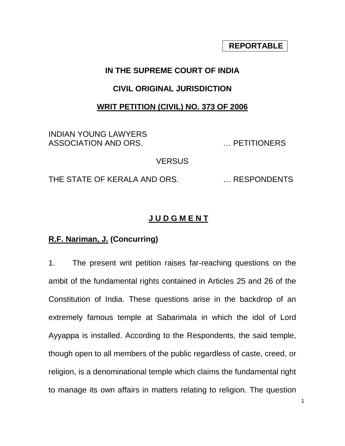# **REPORTABLE**

## **IN THE SUPREME COURT OF INDIA**

#### **CIVIL ORIGINAL JURISDICTION**

### **WRIT PETITION (CIVIL) NO. 373 OF 2006**

INDIAN YOUNG LAWYERS ASSOCIATION AND ORS. … PETITIONERS

VERSUS

THE STATE OF KERALA AND ORS. … RESPONDENTS

## **J U D G M E N T**

## **R.F. Nariman, J. (Concurring)**

1. The present writ petition raises far-reaching questions on the ambit of the fundamental rights contained in Articles 25 and 26 of the Constitution of India. These questions arise in the backdrop of an extremely famous temple at Sabarimala in which the idol of Lord Ayyappa is installed. According to the Respondents, the said temple, though open to all members of the public regardless of caste, creed, or religion, is a denominational temple which claims the fundamental right to manage its own affairs in matters relating to religion. The question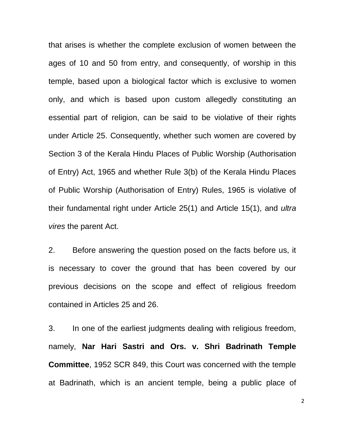that arises is whether the complete exclusion of women between the ages of 10 and 50 from entry, and consequently, of worship in this temple, based upon a biological factor which is exclusive to women only, and which is based upon custom allegedly constituting an essential part of religion, can be said to be violative of their rights under Article 25. Consequently, whether such women are covered by Section 3 of the Kerala Hindu Places of Public Worship (Authorisation of Entry) Act, 1965 and whether Rule 3(b) of the Kerala Hindu Places of Public Worship (Authorisation of Entry) Rules, 1965 is violative of their fundamental right under Article 25(1) and Article 15(1), and *ultra vires* the parent Act.

2. Before answering the question posed on the facts before us, it is necessary to cover the ground that has been covered by our previous decisions on the scope and effect of religious freedom contained in Articles 25 and 26.

3. In one of the earliest judgments dealing with religious freedom, namely, **Nar Hari Sastri and Ors. v. Shri Badrinath Temple Committee**, 1952 SCR 849, this Court was concerned with the temple at Badrinath, which is an ancient temple, being a public place of

2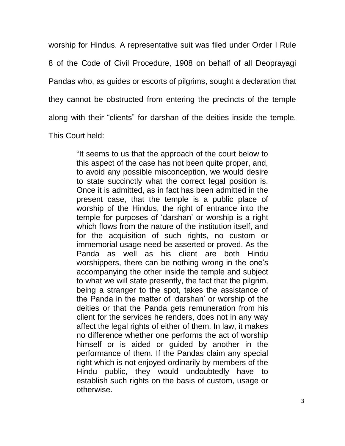worship for Hindus. A representative suit was filed under Order I Rule 8 of the Code of Civil Procedure, 1908 on behalf of all Deoprayagi Pandas who, as guides or escorts of pilgrims, sought a declaration that they cannot be obstructed from entering the precincts of the temple along with their "clients" for darshan of the deities inside the temple. This Court held:

> "It seems to us that the approach of the court below to this aspect of the case has not been quite proper, and, to avoid any possible misconception, we would desire to state succinctly what the correct legal position is. Once it is admitted, as in fact has been admitted in the present case, that the temple is a public place of worship of the Hindus, the right of entrance into the temple for purposes of 'darshan' or worship is a right which flows from the nature of the institution itself, and for the acquisition of such rights, no custom or immemorial usage need be asserted or proved. As the Panda as well as his client are both Hindu worshippers, there can be nothing wrong in the one's accompanying the other inside the temple and subject to what we will state presently, the fact that the pilgrim, being a stranger to the spot, takes the assistance of the Panda in the matter of 'darshan' or worship of the deities or that the Panda gets remuneration from his client for the services he renders, does not in any way affect the legal rights of either of them. In law, it makes no difference whether one performs the act of worship himself or is aided or guided by another in the performance of them. If the Pandas claim any special right which is not enjoyed ordinarily by members of the Hindu public, they would undoubtedly have to establish such rights on the basis of custom, usage or otherwise.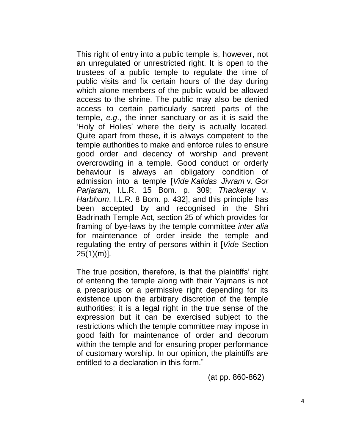This right of entry into a public temple is, however, not an unregulated or unrestricted right. It is open to the trustees of a public temple to regulate the time of public visits and fix certain hours of the day during which alone members of the public would be allowed access to the shrine. The public may also be denied access to certain particularly sacred parts of the temple, *e.g*., the inner sanctuary or as it is said the ‗Holy of Holies' where the deity is actually located. Quite apart from these, it is always competent to the temple authorities to make and enforce rules to ensure good order and decency of worship and prevent overcrowding in a temple. Good conduct or orderly behaviour is always an obligatory condition of admission into a temple [*Vide Kalidas Jivram* v. *Gor Parjaram*, I.L.R. 15 Bom. p. 309; *Thackeray* v. *Harbhum*, I.L.R. 8 Bom. p. 432], and this principle has been accepted by and recognised in the Shri Badrinath Temple Act, section 25 of which provides for framing of bye-laws by the temple committee *inter alia* for maintenance of order inside the temple and regulating the entry of persons within it [*Vide* Section  $25(1)(m)$ ].

The true position, therefore, is that the plaintiffs' right of entering the temple along with their Yajmans is not a precarious or a permissive right depending for its existence upon the arbitrary discretion of the temple authorities; it is a legal right in the true sense of the expression but it can be exercised subject to the restrictions which the temple committee may impose in good faith for maintenance of order and decorum within the temple and for ensuring proper performance of customary worship. In our opinion, the plaintiffs are entitled to a declaration in this form."

(at pp. 860-862)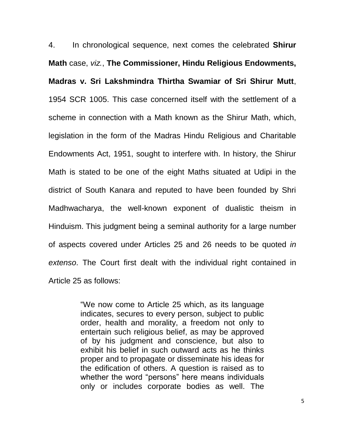4. In chronological sequence, next comes the celebrated **Shirur Math** case, *viz.*, **The Commissioner, Hindu Religious Endowments, Madras v. Sri Lakshmindra Thirtha Swamiar of Sri Shirur Mutt**, 1954 SCR 1005. This case concerned itself with the settlement of a scheme in connection with a Math known as the Shirur Math, which, legislation in the form of the Madras Hindu Religious and Charitable Endowments Act, 1951, sought to interfere with. In history, the Shirur Math is stated to be one of the eight Maths situated at Udipi in the district of South Kanara and reputed to have been founded by Shri Madhwacharya, the well-known exponent of dualistic theism in Hinduism. This judgment being a seminal authority for a large number of aspects covered under Articles 25 and 26 needs to be quoted *in extenso*. The Court first dealt with the individual right contained in Article 25 as follows:

> "We now come to Article 25 which, as its language indicates, secures to every person, subject to public order, health and morality, a freedom not only to entertain such religious belief, as may be approved of by his judgment and conscience, but also to exhibit his belief in such outward acts as he thinks proper and to propagate or disseminate his ideas for the edification of others. A question is raised as to whether the word "persons" here means individuals only or includes corporate bodies as well. The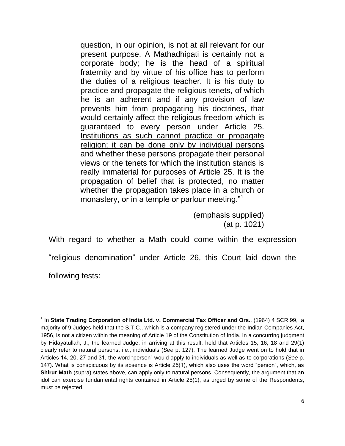question, in our opinion, is not at all relevant for our present purpose. A Mathadhipati is certainly not a corporate body; he is the head of a spiritual fraternity and by virtue of his office has to perform the duties of a religious teacher. It is his duty to practice and propagate the religious tenets, of which he is an adherent and if any provision of law prevents him from propagating his doctrines, that would certainly affect the religious freedom which is guaranteed to every person under Article 25. Institutions as such cannot practice or propagate religion; it can be done only by individual persons and whether these persons propagate their personal views or the tenets for which the institution stands is really immaterial for purposes of Article 25. It is the propagation of belief that is protected, no matter whether the propagation takes place in a church or monastery, or in a temple or parlour meeting."<sup>1</sup>

> (emphasis supplied) (at p. 1021)

With regard to whether a Math could come within the expression "religious denomination" under Article 26, this Court laid down the

following tests:

l

<sup>1</sup> In **State Trading Corporation of India Ltd. v. Commercial Tax Officer and Ors.**, (1964) 4 SCR 99, a majority of 9 Judges held that the S.T.C., which is a company registered under the Indian Companies Act, 1956, is not a citizen within the meaning of Article 19 of the Constitution of India. In a concurring judgment by Hidayatullah, J., the learned Judge, in arriving at this result, held that Articles 15, 16, 18 and 29(1) clearly refer to natural persons, i.e., individuals (*See* p. 127). The learned Judge went on to hold that in Articles 14, 20, 27 and 31, the word "person" would apply to individuals as well as to corporations (See p. 147). What is conspicuous by its absence is Article 25(1), which also uses the word "person", which, as **Shirur Math** (supra) states above, can apply only to natural persons. Consequently, the argument that an idol can exercise fundamental rights contained in Article 25(1), as urged by some of the Respondents, must be rejected.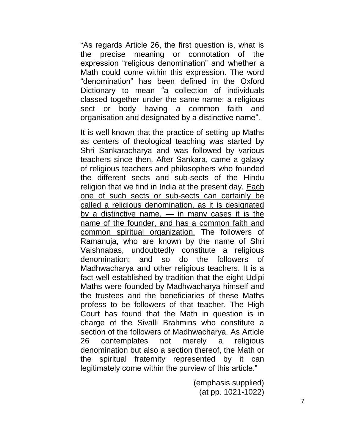"As regards Article 26, the first question is, what is the precise meaning or connotation of the expression "religious denomination" and whether a Math could come within this expression. The word "denomination" has been defined in the Oxford Dictionary to mean "a collection of individuals classed together under the same name: a religious sect or body having a common faith and organisation and designated by a distinctive name".

It is well known that the practice of setting up Maths as centers of theological teaching was started by Shri Sankaracharya and was followed by various teachers since then. After Sankara, came a galaxy of religious teachers and philosophers who founded the different sects and sub-sects of the Hindu religion that we find in India at the present day. Each one of such sects or sub-sects can certainly be called a religious denomination, as it is designated by a distinctive name, — in many cases it is the name of the founder, and has a common faith and common spiritual organization. The followers of Ramanuja, who are known by the name of Shri Vaishnabas, undoubtedly constitute a religious denomination; and so do the followers of Madhwacharya and other religious teachers. It is a fact well established by tradition that the eight Udipi Maths were founded by Madhwacharya himself and the trustees and the beneficiaries of these Maths profess to be followers of that teacher. The High Court has found that the Math in question is in charge of the Sivalli Brahmins who constitute a section of the followers of Madhwacharya. As Article 26 contemplates not merely a religious denomination but also a section thereof, the Math or the spiritual fraternity represented by it can legitimately come within the purview of this article."

> (emphasis supplied) (at pp. 1021-1022)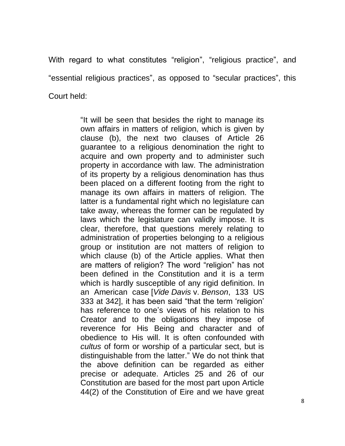With regard to what constitutes "religion", "religious practice", and "essential religious practices", as opposed to "secular practices", this Court held:

> "It will be seen that besides the right to manage its own affairs in matters of religion, which is given by clause (b), the next two clauses of Article 26 guarantee to a religious denomination the right to acquire and own property and to administer such property in accordance with law. The administration of its property by a religious denomination has thus been placed on a different footing from the right to manage its own affairs in matters of religion. The latter is a fundamental right which no legislature can take away, whereas the former can be regulated by laws which the legislature can validly impose. It is clear, therefore, that questions merely relating to administration of properties belonging to a religious group or institution are not matters of religion to which clause (b) of the Article applies. What then are matters of religion? The word "religion" has not been defined in the Constitution and it is a term which is hardly susceptible of any rigid definition. In an American case [*Vide Davis* v. *Benson*, 133 US 333 at 3421, it has been said "that the term 'religion' has reference to one's views of his relation to his Creator and to the obligations they impose of reverence for His Being and character and of obedience to His will. It is often confounded with *cultus* of form or worship of a particular sect, but is distinguishable from the latter." We do not think that the above definition can be regarded as either precise or adequate. Articles 25 and 26 of our Constitution are based for the most part upon Article 44(2) of the Constitution of Eire and we have great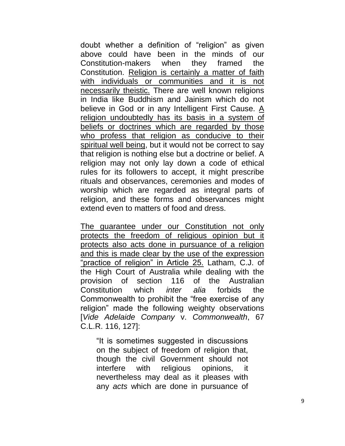doubt whether a definition of "religion" as given above could have been in the minds of our Constitution-makers when they framed the Constitution. Religion is certainly a matter of faith with individuals or communities and it is not necessarily theistic. There are well known religions in India like Buddhism and Jainism which do not believe in God or in any Intelligent First Cause. A religion undoubtedly has its basis in a system of beliefs or doctrines which are regarded by those who profess that religion as conducive to their spiritual well being, but it would not be correct to say that religion is nothing else but a doctrine or belief. A religion may not only lay down a code of ethical rules for its followers to accept, it might prescribe rituals and observances, ceremonies and modes of worship which are regarded as integral parts of religion, and these forms and observances might extend even to matters of food and dress.

The guarantee under our Constitution not only protects the freedom of religious opinion but it protects also acts done in pursuance of a religion and this is made clear by the use of the expression "practice of religion" in Article 25. Latham, C.J. of the High Court of Australia while dealing with the provision of section 116 of the Australian Constitution which *inter alia* forbids the Commonwealth to prohibit the "free exercise of any religion" made the following weighty observations [*Vide Adelaide Company* v. *Commonwealth*, 67 C.L.R. 116, 127]:

"It is sometimes suggested in discussions" on the subject of freedom of religion that, though the civil Government should not interfere with religious opinions, it nevertheless may deal as it pleases with any *acts* which are done in pursuance of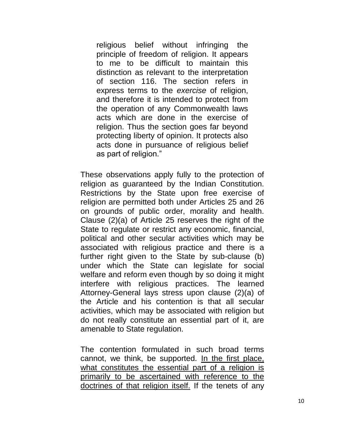religious belief without infringing the principle of freedom of religion. It appears to me to be difficult to maintain this distinction as relevant to the interpretation of section 116. The section refers in express terms to the *exercise* of religion, and therefore it is intended to protect from the operation of any Commonwealth laws acts which are done in the exercise of religion. Thus the section goes far beyond protecting liberty of opinion. It protects also acts done in pursuance of religious belief as part of religion."

These observations apply fully to the protection of religion as guaranteed by the Indian Constitution. Restrictions by the State upon free exercise of religion are permitted both under Articles 25 and 26 on grounds of public order, morality and health. Clause (2)(a) of Article 25 reserves the right of the State to regulate or restrict any economic, financial, political and other secular activities which may be associated with religious practice and there is a further right given to the State by sub-clause (b) under which the State can legislate for social welfare and reform even though by so doing it might interfere with religious practices. The learned Attorney-General lays stress upon clause (2)(a) of the Article and his contention is that all secular activities, which may be associated with religion but do not really constitute an essential part of it, are amenable to State regulation.

The contention formulated in such broad terms cannot, we think, be supported. In the first place, what constitutes the essential part of a religion is primarily to be ascertained with reference to the doctrines of that religion itself. If the tenets of any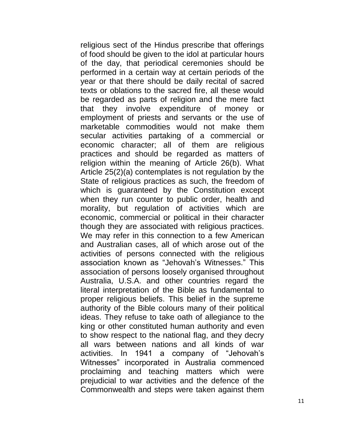religious sect of the Hindus prescribe that offerings of food should be given to the idol at particular hours of the day, that periodical ceremonies should be performed in a certain way at certain periods of the year or that there should be daily recital of sacred texts or oblations to the sacred fire, all these would be regarded as parts of religion and the mere fact that they involve expenditure of money or employment of priests and servants or the use of marketable commodities would not make them secular activities partaking of a commercial or economic character; all of them are religious practices and should be regarded as matters of religion within the meaning of Article 26(b). What Article 25(2)(a) contemplates is not regulation by the State of religious practices as such, the freedom of which is guaranteed by the Constitution except when they run counter to public order, health and morality, but regulation of activities which are economic, commercial or political in their character though they are associated with religious practices. We may refer in this connection to a few American and Australian cases, all of which arose out of the activities of persons connected with the religious association known as "Jehovah's Witnesses." This association of persons loosely organised throughout Australia, U.S.A. and other countries regard the literal interpretation of the Bible as fundamental to proper religious beliefs. This belief in the supreme authority of the Bible colours many of their political ideas. They refuse to take oath of allegiance to the king or other constituted human authority and even to show respect to the national flag, and they decry all wars between nations and all kinds of war activities. In 1941 a company of "Jehovah's Witnesses" incorporated in Australia commenced proclaiming and teaching matters which were prejudicial to war activities and the defence of the Commonwealth and steps were taken against them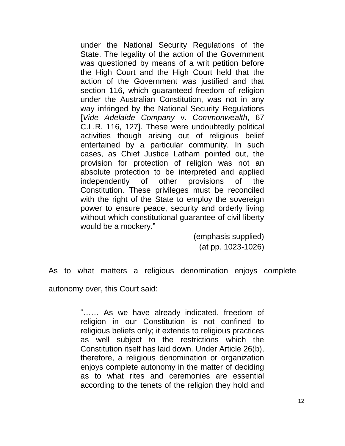under the National Security Regulations of the State. The legality of the action of the Government was questioned by means of a writ petition before the High Court and the High Court held that the action of the Government was justified and that section 116, which guaranteed freedom of religion under the Australian Constitution, was not in any way infringed by the National Security Regulations [*Vide Adelaide Company* v. *Commonwealth*, 67 C.L.R. 116, 127]. These were undoubtedly political activities though arising out of religious belief entertained by a particular community. In such cases, as Chief Justice Latham pointed out, the provision for protection of religion was not an absolute protection to be interpreted and applied independently of other provisions of the Constitution. These privileges must be reconciled with the right of the State to employ the sovereign power to ensure peace, security and orderly living without which constitutional guarantee of civil liberty would be a mockery."

> (emphasis supplied) (at pp. 1023-1026)

As to what matters a religious denomination enjoys complete

autonomy over, this Court said:

"...... As we have already indicated, freedom of religion in our Constitution is not confined to religious beliefs only; it extends to religious practices as well subject to the restrictions which the Constitution itself has laid down. Under Article 26(b), therefore, a religious denomination or organization enjoys complete autonomy in the matter of deciding as to what rites and ceremonies are essential according to the tenets of the religion they hold and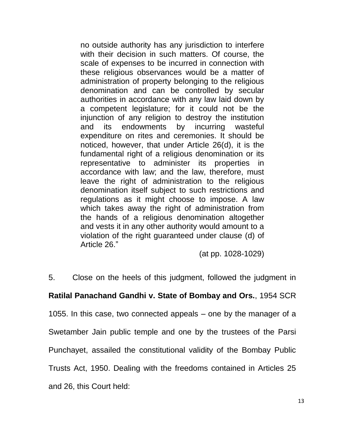no outside authority has any jurisdiction to interfere with their decision in such matters. Of course, the scale of expenses to be incurred in connection with these religious observances would be a matter of administration of property belonging to the religious denomination and can be controlled by secular authorities in accordance with any law laid down by a competent legislature; for it could not be the injunction of any religion to destroy the institution and its endowments by incurring wasteful expenditure on rites and ceremonies. It should be noticed, however, that under Article 26(d), it is the fundamental right of a religious denomination or its representative to administer its properties in accordance with law; and the law, therefore, must leave the right of administration to the religious denomination itself subject to such restrictions and regulations as it might choose to impose. A law which takes away the right of administration from the hands of a religious denomination altogether and vests it in any other authority would amount to a violation of the right guaranteed under clause (d) of Article 26."

(at pp. 1028-1029)

5. Close on the heels of this judgment, followed the judgment in

# **Ratilal Panachand Gandhi v. State of Bombay and Ors.**, 1954 SCR

1055. In this case, two connected appeals – one by the manager of a

Swetamber Jain public temple and one by the trustees of the Parsi

Punchayet, assailed the constitutional validity of the Bombay Public

Trusts Act, 1950. Dealing with the freedoms contained in Articles 25

and 26, this Court held: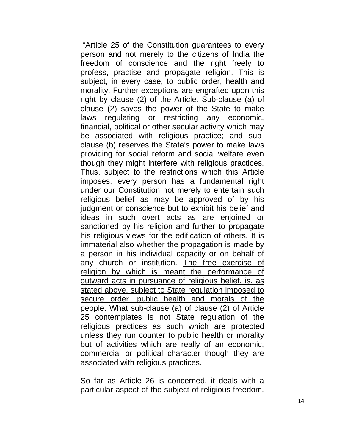―Article 25 of the Constitution guarantees to every person and not merely to the citizens of India the freedom of conscience and the right freely to profess, practise and propagate religion. This is subject, in every case, to public order, health and morality. Further exceptions are engrafted upon this right by clause (2) of the Article. Sub-clause (a) of clause (2) saves the power of the State to make laws regulating or restricting any economic, financial, political or other secular activity which may be associated with religious practice; and subclause (b) reserves the State's power to make laws providing for social reform and social welfare even though they might interfere with religious practices. Thus, subject to the restrictions which this Article imposes, every person has a fundamental right under our Constitution not merely to entertain such religious belief as may be approved of by his judgment or conscience but to exhibit his belief and ideas in such overt acts as are enjoined or sanctioned by his religion and further to propagate his religious views for the edification of others. It is immaterial also whether the propagation is made by a person in his individual capacity or on behalf of any church or institution. The free exercise of religion by which is meant the performance of outward acts in pursuance of religious belief, is, as stated above, subject to State regulation imposed to secure order, public health and morals of the people. What sub-clause (a) of clause (2) of Article 25 contemplates is not State regulation of the religious practices as such which are protected unless they run counter to public health or morality but of activities which are really of an economic, commercial or political character though they are associated with religious practices.

So far as Article 26 is concerned, it deals with a particular aspect of the subject of religious freedom.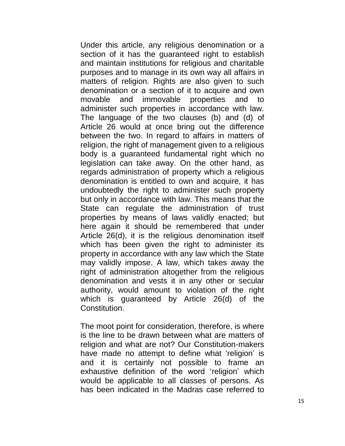Under this article, any religious denomination or a section of it has the guaranteed right to establish and maintain institutions for religious and charitable purposes and to manage in its own way all affairs in matters of religion. Rights are also given to such denomination or a section of it to acquire and own movable and immovable properties and to administer such properties in accordance with law. The language of the two clauses (b) and (d) of Article 26 would at once bring out the difference between the two. In regard to affairs in matters of religion, the right of management given to a religious body is a guaranteed fundamental right which no legislation can take away. On the other hand, as regards administration of property which a religious denomination is entitled to own and acquire, it has undoubtedly the right to administer such property but only in accordance with law. This means that the State can regulate the administration of trust properties by means of laws validly enacted; but here again it should be remembered that under Article 26(d), it is the religious denomination itself which has been given the right to administer its property in accordance with any law which the State may validly impose. A law, which takes away the right of administration altogether from the religious denomination and vests it in any other or secular authority, would amount to violation of the right which is guaranteed by Article 26(d) of the Constitution.

The moot point for consideration, therefore, is where is the line to be drawn between what are matters of religion and what are not? Our Constitution-makers have made no attempt to define what 'religion' is and it is certainly not possible to frame an exhaustive definition of the word 'religion' which would be applicable to all classes of persons. As has been indicated in the Madras case referred to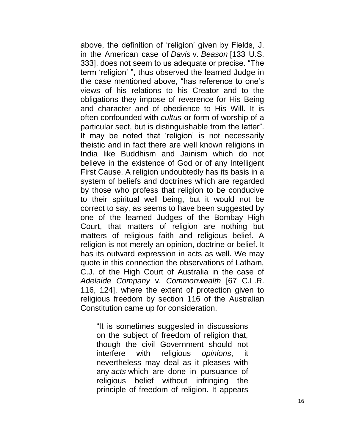above, the definition of 'religion' given by Fields, J. in the American case of *Davis* v. *Beason* [133 U.S. 333], does not seem to us adequate or precise. "The term 'religion' ", thus observed the learned Judge in the case mentioned above, "has reference to one's views of his relations to his Creator and to the obligations they impose of reverence for His Being and character and of obedience to His Will. It is often confounded with *cultus* or form of worship of a particular sect, but is distinguishable from the latter". It may be noted that 'religion' is not necessarily theistic and in fact there are well known religions in India like Buddhism and Jainism which do not believe in the existence of God or of any Intelligent First Cause. A religion undoubtedly has its basis in a system of beliefs and doctrines which are regarded by those who profess that religion to be conducive to their spiritual well being, but it would not be correct to say, as seems to have been suggested by one of the learned Judges of the Bombay High Court, that matters of religion are nothing but matters of religious faith and religious belief. A religion is not merely an opinion, doctrine or belief. It has its outward expression in acts as well. We may quote in this connection the observations of Latham, C.J. of the High Court of Australia in the case of *Adelaide Company* v. *Commonwealth* [67 C.L.R. 116, 124], where the extent of protection given to religious freedom by section 116 of the Australian Constitution came up for consideration.

"It is sometimes suggested in discussions" on the subject of freedom of religion that, though the civil Government should not interfere with religious *opinions*, it nevertheless may deal as it pleases with any *acts* which are done in pursuance of religious belief without infringing the principle of freedom of religion. It appears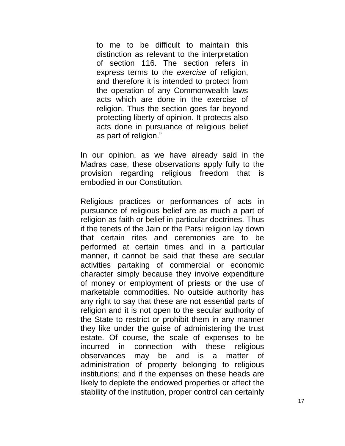to me to be difficult to maintain this distinction as relevant to the interpretation of section 116. The section refers in express terms to the *exercise* of religion, and therefore it is intended to protect from the operation of any Commonwealth laws acts which are done in the exercise of religion. Thus the section goes far beyond protecting liberty of opinion. It protects also acts done in pursuance of religious belief as part of religion.‖

In our opinion, as we have already said in the Madras case, these observations apply fully to the provision regarding religious freedom that is embodied in our Constitution.

Religious practices or performances of acts in pursuance of religious belief are as much a part of religion as faith or belief in particular doctrines. Thus if the tenets of the Jain or the Parsi religion lay down that certain rites and ceremonies are to be performed at certain times and in a particular manner, it cannot be said that these are secular activities partaking of commercial or economic character simply because they involve expenditure of money or employment of priests or the use of marketable commodities. No outside authority has any right to say that these are not essential parts of religion and it is not open to the secular authority of the State to restrict or prohibit them in any manner they like under the guise of administering the trust estate. Of course, the scale of expenses to be incurred in connection with these religious observances may be and is a matter of administration of property belonging to religious institutions; and if the expenses on these heads are likely to deplete the endowed properties or affect the stability of the institution, proper control can certainly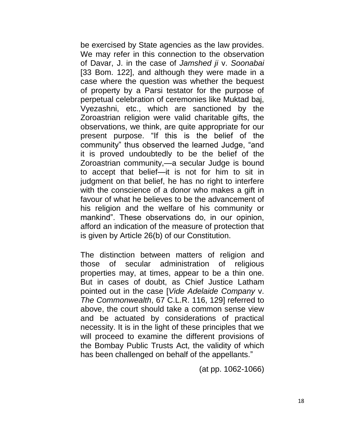be exercised by State agencies as the law provides. We may refer in this connection to the observation of Davar, J. in the case of *Jamshed ji* v. *Soonabai* [33 Bom. 122], and although they were made in a case where the question was whether the bequest of property by a Parsi testator for the purpose of perpetual celebration of ceremonies like Muktad baj, Vyezashni, etc., which are sanctioned by the Zoroastrian religion were valid charitable gifts, the observations, we think, are quite appropriate for our present purpose. "If this is the belief of the community" thus observed the learned Judge, "and it is proved undoubtedly to be the belief of the Zoroastrian community,—a secular Judge is bound to accept that belief—it is not for him to sit in judgment on that belief, he has no right to interfere with the conscience of a donor who makes a gift in favour of what he believes to be the advancement of his religion and the welfare of his community or mankind". These observations do, in our opinion, afford an indication of the measure of protection that is given by Article 26(b) of our Constitution.

The distinction between matters of religion and those of secular administration of religious properties may, at times, appear to be a thin one. But in cases of doubt, as Chief Justice Latham pointed out in the case [*Vide Adelaide Company* v. *The Commonwealth*, 67 C.L.R. 116, 129] referred to above, the court should take a common sense view and be actuated by considerations of practical necessity. It is in the light of these principles that we will proceed to examine the different provisions of the Bombay Public Trusts Act, the validity of which has been challenged on behalf of the appellants."

(at pp. 1062-1066)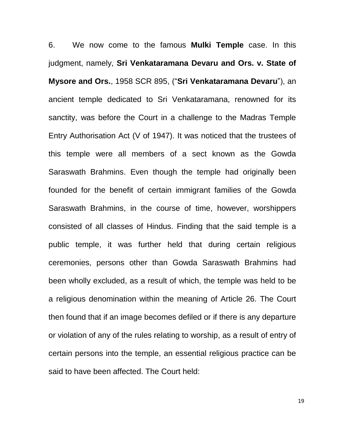6. We now come to the famous **Mulki Temple** case. In this judgment, namely, **Sri Venkataramana Devaru and Ors. v. State of Mysore and Ors., 1958 SCR 895, ("Sri Venkataramana Devaru"), an** ancient temple dedicated to Sri Venkataramana, renowned for its sanctity, was before the Court in a challenge to the Madras Temple Entry Authorisation Act (V of 1947). It was noticed that the trustees of this temple were all members of a sect known as the Gowda Saraswath Brahmins. Even though the temple had originally been founded for the benefit of certain immigrant families of the Gowda Saraswath Brahmins, in the course of time, however, worshippers consisted of all classes of Hindus. Finding that the said temple is a public temple, it was further held that during certain religious ceremonies, persons other than Gowda Saraswath Brahmins had been wholly excluded, as a result of which, the temple was held to be a religious denomination within the meaning of Article 26. The Court then found that if an image becomes defiled or if there is any departure or violation of any of the rules relating to worship, as a result of entry of certain persons into the temple, an essential religious practice can be said to have been affected. The Court held:

19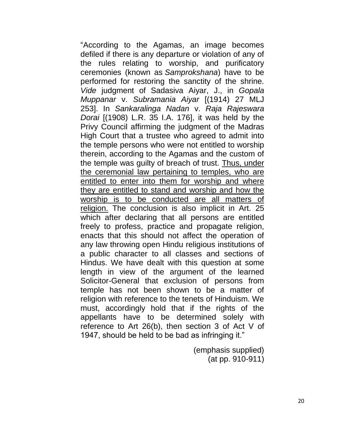"According to the Agamas, an image becomes defiled if there is any departure or violation of any of the rules relating to worship, and purificatory ceremonies (known as *Samprokshana*) have to be performed for restoring the sanctity of the shrine. *Vide* judgment of Sadasiva Aiyar, J., in *Gopala Muppanar* v. *Subramania Aiyar* [(1914) 27 MLJ 253]. In *Sankaralinga Nadan* v. *Raja Rajeswara Dorai* [(1908) L.R. 35 I.A. 176], it was held by the Privy Council affirming the judgment of the Madras High Court that a trustee who agreed to admit into the temple persons who were not entitled to worship therein, according to the Agamas and the custom of the temple was guilty of breach of trust. Thus, under the ceremonial law pertaining to temples, who are entitled to enter into them for worship and where they are entitled to stand and worship and how the worship is to be conducted are all matters of religion. The conclusion is also implicit in Art. 25 which after declaring that all persons are entitled freely to profess, practice and propagate religion, enacts that this should not affect the operation of any law throwing open Hindu religious institutions of a public character to all classes and sections of Hindus. We have dealt with this question at some length in view of the argument of the learned Solicitor-General that exclusion of persons from temple has not been shown to be a matter of religion with reference to the tenets of Hinduism. We must, accordingly hold that if the rights of the appellants have to be determined solely with reference to Art 26(b), then section 3 of Act V of 1947, should be held to be bad as infringing it."

> (emphasis supplied) (at pp. 910-911)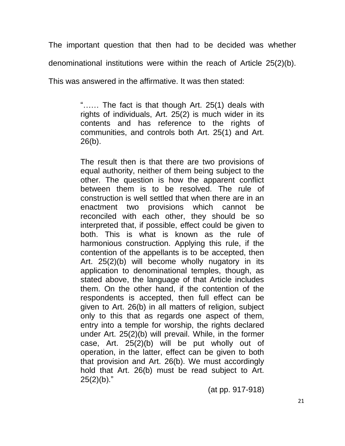The important question that then had to be decided was whether denominational institutions were within the reach of Article 25(2)(b).

This was answered in the affirmative. It was then stated:

"...... The fact is that though Art.  $25(1)$  deals with rights of individuals, Art. 25(2) is much wider in its contents and has reference to the rights of communities, and controls both Art. 25(1) and Art. 26(b).

The result then is that there are two provisions of equal authority, neither of them being subject to the other. The question is how the apparent conflict between them is to be resolved. The rule of construction is well settled that when there are in an enactment two provisions which cannot be reconciled with each other, they should be so interpreted that, if possible, effect could be given to both. This is what is known as the rule of harmonious construction. Applying this rule, if the contention of the appellants is to be accepted, then Art. 25(2)(b) will become wholly nugatory in its application to denominational temples, though, as stated above, the language of that Article includes them. On the other hand, if the contention of the respondents is accepted, then full effect can be given to Art. 26(b) in all matters of religion, subject only to this that as regards one aspect of them, entry into a temple for worship, the rights declared under Art. 25(2)(b) will prevail. While, in the former case, Art. 25(2)(b) will be put wholly out of operation, in the latter, effect can be given to both that provision and Art. 26(b). We must accordingly hold that Art. 26(b) must be read subject to Art.  $25(2)(b)$ ."

(at pp. 917-918)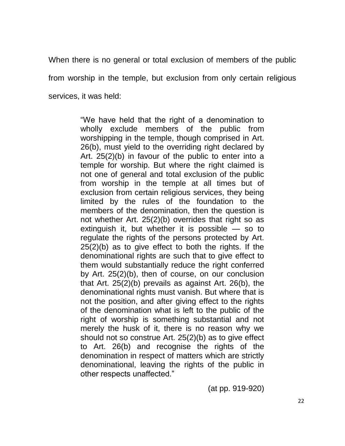When there is no general or total exclusion of members of the public from worship in the temple, but exclusion from only certain religious services, it was held:

> "We have held that the right of a denomination to wholly exclude members of the public from worshipping in the temple, though comprised in Art. 26(b), must yield to the overriding right declared by Art. 25(2)(b) in favour of the public to enter into a temple for worship. But where the right claimed is not one of general and total exclusion of the public from worship in the temple at all times but of exclusion from certain religious services, they being limited by the rules of the foundation to the members of the denomination, then the question is not whether Art. 25(2)(b) overrides that right so as extinguish it, but whether it is possible — so to regulate the rights of the persons protected by Art. 25(2)(b) as to give effect to both the rights. If the denominational rights are such that to give effect to them would substantially reduce the right conferred by Art. 25(2)(b), then of course, on our conclusion that Art. 25(2)(b) prevails as against Art. 26(b), the denominational rights must vanish. But where that is not the position, and after giving effect to the rights of the denomination what is left to the public of the right of worship is something substantial and not merely the husk of it, there is no reason why we should not so construe Art. 25(2)(b) as to give effect to Art. 26(b) and recognise the rights of the denomination in respect of matters which are strictly denominational, leaving the rights of the public in other respects unaffected."

> > (at pp. 919-920)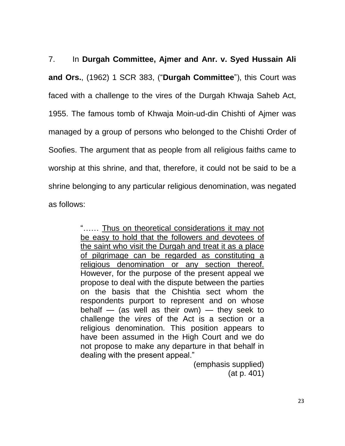7. In **Durgah Committee, Ajmer and Anr. v. Syed Hussain Ali and Ors.**, (1962) 1 SCR 383, ("Durgah Committee"), this Court was faced with a challenge to the vires of the Durgah Khwaja Saheb Act, 1955. The famous tomb of Khwaja Moin-ud-din Chishti of Ajmer was managed by a group of persons who belonged to the Chishti Order of Soofies. The argument that as people from all religious faiths came to worship at this shrine, and that, therefore, it could not be said to be a shrine belonging to any particular religious denomination, was negated as follows:

> "...... Thus on theoretical considerations it may not be easy to hold that the followers and devotees of the saint who visit the Durgah and treat it as a place of pilgrimage can be regarded as constituting a religious denomination or any section thereof. However, for the purpose of the present appeal we propose to deal with the dispute between the parties on the basis that the Chishtia sect whom the respondents purport to represent and on whose behalf — (as well as their own) — they seek to challenge the *vires* of the Act is a section or a religious denomination. This position appears to have been assumed in the High Court and we do not propose to make any departure in that behalf in dealing with the present appeal."

(emphasis supplied) (at p. 401)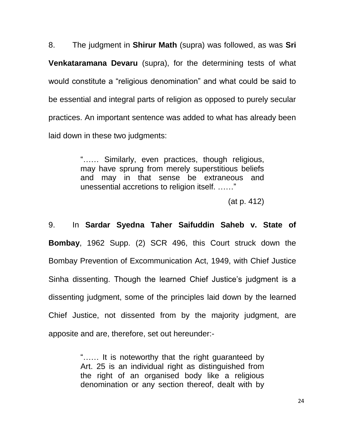8. The judgment in **Shirur Math** (supra) was followed, as was **Sri Venkataramana Devaru** (supra), for the determining tests of what would constitute a "religious denomination" and what could be said to be essential and integral parts of religion as opposed to purely secular practices. An important sentence was added to what has already been laid down in these two judgments:

> "...... Similarly, even practices, though religious, may have sprung from merely superstitious beliefs and may in that sense be extraneous and unessential accretions to religion itself. ......"

> > (at p. 412)

9. In **Sardar Syedna Taher Saifuddin Saheb v. State of Bombay**, 1962 Supp. (2) SCR 496, this Court struck down the Bombay Prevention of Excommunication Act, 1949, with Chief Justice Sinha dissenting. Though the learned Chief Justice's judgment is a dissenting judgment, some of the principles laid down by the learned Chief Justice, not dissented from by the majority judgment, are apposite and are, therefore, set out hereunder:-

> "...... It is noteworthy that the right guaranteed by Art. 25 is an individual right as distinguished from the right of an organised body like a religious denomination or any section thereof, dealt with by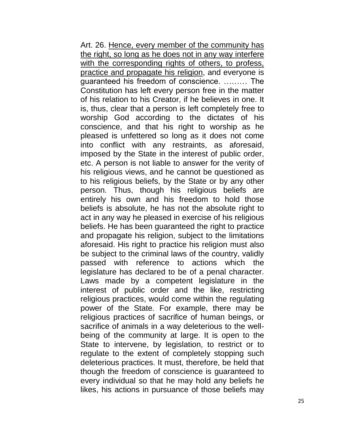Art. 26. Hence, every member of the community has the right, so long as he does not in any way interfere with the corresponding rights of others, to profess, practice and propagate his religion, and everyone is guaranteed his freedom of conscience. ……… The Constitution has left every person free in the matter of his relation to his Creator, if he believes in one. It is, thus, clear that a person is left completely free to worship God according to the dictates of his conscience, and that his right to worship as he pleased is unfettered so long as it does not come into conflict with any restraints, as aforesaid, imposed by the State in the interest of public order, etc. A person is not liable to answer for the verity of his religious views, and he cannot be questioned as to his religious beliefs, by the State or by any other person. Thus, though his religious beliefs are entirely his own and his freedom to hold those beliefs is absolute, he has not the absolute right to act in any way he pleased in exercise of his religious beliefs. He has been guaranteed the right to practice and propagate his religion, subject to the limitations aforesaid. His right to practice his religion must also be subject to the criminal laws of the country, validly passed with reference to actions which the legislature has declared to be of a penal character. Laws made by a competent legislature in the interest of public order and the like, restricting religious practices, would come within the regulating power of the State. For example, there may be religious practices of sacrifice of human beings, or sacrifice of animals in a way deleterious to the wellbeing of the community at large. It is open to the State to intervene, by legislation, to restrict or to regulate to the extent of completely stopping such deleterious practices. It must, therefore, be held that though the freedom of conscience is guaranteed to every individual so that he may hold any beliefs he likes, his actions in pursuance of those beliefs may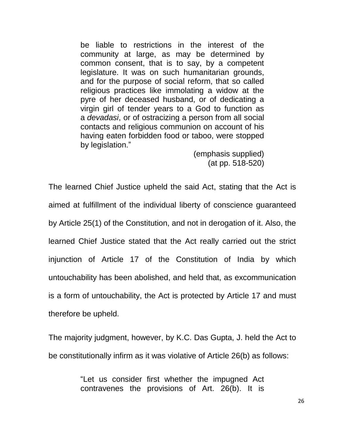be liable to restrictions in the interest of the community at large, as may be determined by common consent, that is to say, by a competent legislature. It was on such humanitarian grounds, and for the purpose of social reform, that so called religious practices like immolating a widow at the pyre of her deceased husband, or of dedicating a virgin girl of tender years to a God to function as a *devadasi*, or of ostracizing a person from all social contacts and religious communion on account of his having eaten forbidden food or taboo, were stopped by legislation."

> (emphasis supplied) (at pp. 518-520)

The learned Chief Justice upheld the said Act, stating that the Act is aimed at fulfillment of the individual liberty of conscience guaranteed by Article 25(1) of the Constitution, and not in derogation of it. Also, the learned Chief Justice stated that the Act really carried out the strict injunction of Article 17 of the Constitution of India by which untouchability has been abolished, and held that, as excommunication is a form of untouchability, the Act is protected by Article 17 and must therefore be upheld.

The majority judgment, however, by K.C. Das Gupta, J. held the Act to be constitutionally infirm as it was violative of Article 26(b) as follows:

> ―Let us consider first whether the impugned Act contravenes the provisions of Art. 26(b). It is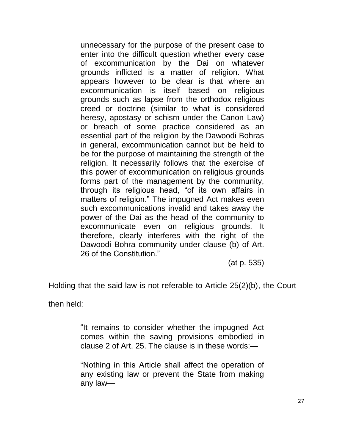unnecessary for the purpose of the present case to enter into the difficult question whether every case of excommunication by the Dai on whatever grounds inflicted is a matter of religion. What appears however to be clear is that where an excommunication is itself based on religious grounds such as lapse from the orthodox religious creed or doctrine (similar to what is considered heresy, apostasy or schism under the Canon Law) or breach of some practice considered as an essential part of the religion by the Dawoodi Bohras in general, excommunication cannot but be held to be for the purpose of maintaining the strength of the religion. It necessarily follows that the exercise of this power of excommunication on religious grounds forms part of the management by the community, through its religious head, "of its own affairs in matters of religion." The impugned Act makes even such excommunications invalid and takes away the power of the Dai as the head of the community to excommunicate even on religious grounds. It therefore, clearly interferes with the right of the Dawoodi Bohra community under clause (b) of Art. 26 of the Constitution."

(at p. 535)

Holding that the said law is not referable to Article 25(2)(b), the Court

then held:

"It remains to consider whether the impugned Act comes within the saving provisions embodied in clause 2 of Art. 25. The clause is in these words:—

―Nothing in this Article shall affect the operation of any existing law or prevent the State from making any law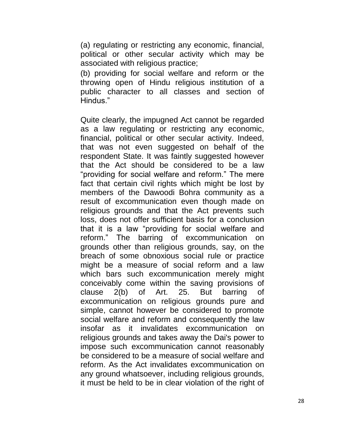(a) regulating or restricting any economic, financial, political or other secular activity which may be associated with religious practice;

(b) providing for social welfare and reform or the throwing open of Hindu religious institution of a public character to all classes and section of Hindus."

Quite clearly, the impugned Act cannot be regarded as a law regulating or restricting any economic, financial, political or other secular activity. Indeed, that was not even suggested on behalf of the respondent State. It was faintly suggested however that the Act should be considered to be a law "providing for social welfare and reform." The mere fact that certain civil rights which might be lost by members of the Dawoodi Bohra community as a result of excommunication even though made on religious grounds and that the Act prevents such loss, does not offer sufficient basis for a conclusion that it is a law "providing for social welfare and reform.‖ The barring of excommunication on grounds other than religious grounds, say, on the breach of some obnoxious social rule or practice might be a measure of social reform and a law which bars such excommunication merely might conceivably come within the saving provisions of clause 2(b) of Art. 25. But barring of excommunication on religious grounds pure and simple, cannot however be considered to promote social welfare and reform and consequently the law insofar as it invalidates excommunication on religious grounds and takes away the Dai's power to impose such excommunication cannot reasonably be considered to be a measure of social welfare and reform. As the Act invalidates excommunication on any ground whatsoever, including religious grounds, it must be held to be in clear violation of the right of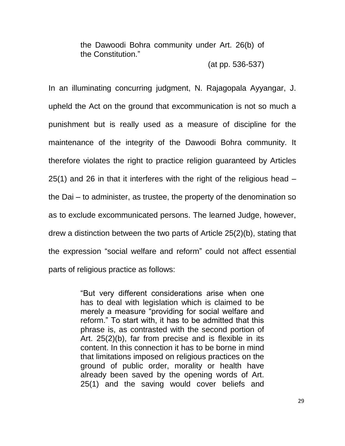the Dawoodi Bohra community under Art. 26(b) of the Constitution."

(at pp. 536-537)

In an illuminating concurring judgment, N. Rajagopala Ayyangar, J. upheld the Act on the ground that excommunication is not so much a punishment but is really used as a measure of discipline for the maintenance of the integrity of the Dawoodi Bohra community. It therefore violates the right to practice religion guaranteed by Articles 25(1) and 26 in that it interferes with the right of the religious head – the Dai – to administer, as trustee, the property of the denomination so as to exclude excommunicated persons. The learned Judge, however, drew a distinction between the two parts of Article 25(2)(b), stating that the expression "social welfare and reform" could not affect essential parts of religious practice as follows:

> ―But very different considerations arise when one has to deal with legislation which is claimed to be merely a measure "providing for social welfare and reform.‖ To start with, it has to be admitted that this phrase is, as contrasted with the second portion of Art. 25(2)(b), far from precise and is flexible in its content. In this connection it has to be borne in mind that limitations imposed on religious practices on the ground of public order, morality or health have already been saved by the opening words of Art. 25(1) and the saving would cover beliefs and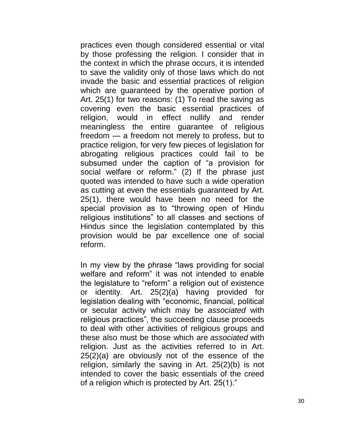practices even though considered essential or vital by those professing the religion. I consider that in the context in which the phrase occurs, it is intended to save the validity only of those laws which do not invade the basic and essential practices of religion which are guaranteed by the operative portion of Art. 25(1) for two reasons: (1) To read the saving as covering even the basic essential practices of religion, would in effect nullify and render meaningless the entire guarantee of religious freedom — a freedom not merely to profess, but to practice religion, for very few pieces of legislation for abrogating religious practices could fail to be subsumed under the caption of "a provision for social welfare or reform." (2) If the phrase just quoted was intended to have such a wide operation as cutting at even the essentials guaranteed by Art. 25(1), there would have been no need for the special provision as to "throwing open of Hindu religious institutions" to all classes and sections of Hindus since the legislation contemplated by this provision would be par excellence one of social reform.

In my view by the phrase "laws providing for social welfare and reform" it was not intended to enable the legislature to "reform" a religion out of existence or identity. Art. 25(2)(a) having provided for legislation dealing with "economic, financial, political or secular activity which may be *associated* with religious practices", the succeeding clause proceeds to deal with other activities of religious groups and these also must be those which are *associated* with religion. Just as the activities referred to in Art. 25(2)(a) are obviously not of the essence of the religion, similarly the saving in Art. 25(2)(b) is not intended to cover the basic essentials of the creed of a religion which is protected by Art. 25(1)."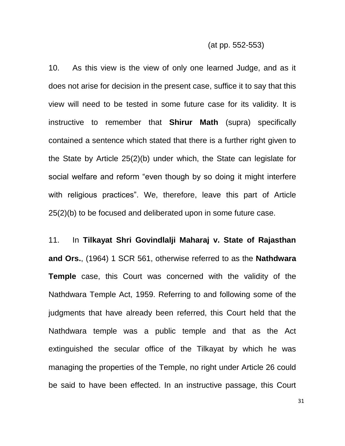10. As this view is the view of only one learned Judge, and as it does not arise for decision in the present case, suffice it to say that this view will need to be tested in some future case for its validity. It is instructive to remember that **Shirur Math** (supra) specifically contained a sentence which stated that there is a further right given to the State by Article 25(2)(b) under which, the State can legislate for social welfare and reform "even though by so doing it might interfere with religious practices". We, therefore, leave this part of Article 25(2)(b) to be focused and deliberated upon in some future case.

11. In **Tilkayat Shri Govindlalji Maharaj v. State of Rajasthan and Ors.**, (1964) 1 SCR 561, otherwise referred to as the **Nathdwara Temple** case, this Court was concerned with the validity of the Nathdwara Temple Act, 1959. Referring to and following some of the judgments that have already been referred, this Court held that the Nathdwara temple was a public temple and that as the Act extinguished the secular office of the Tilkayat by which he was managing the properties of the Temple, no right under Article 26 could be said to have been effected. In an instructive passage, this Court

31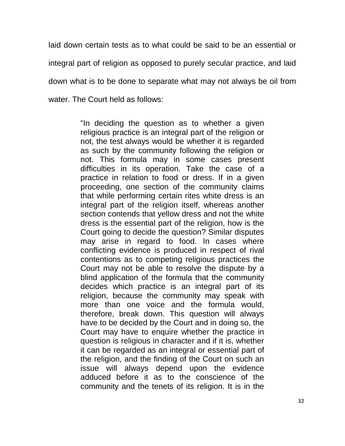laid down certain tests as to what could be said to be an essential or integral part of religion as opposed to purely secular practice, and laid down what is to be done to separate what may not always be oil from water. The Court held as follows:

> "In deciding the question as to whether a given religious practice is an integral part of the religion or not, the test always would be whether it is regarded as such by the community following the religion or not. This formula may in some cases present difficulties in its operation. Take the case of a practice in relation to food or dress. If in a given proceeding, one section of the community claims that while performing certain rites white dress is an integral part of the religion itself, whereas another section contends that yellow dress and not the white dress is the essential part of the religion, how is the Court going to decide the question? Similar disputes may arise in regard to food. In cases where conflicting evidence is produced in respect of rival contentions as to competing religious practices the Court may not be able to resolve the dispute by a blind application of the formula that the community decides which practice is an integral part of its religion, because the community may speak with more than one voice and the formula would, therefore, break down. This question will always have to be decided by the Court and in doing so, the Court may have to enquire whether the practice in question is religious in character and if it is, whether it can be regarded as an integral or essential part of the religion, and the finding of the Court on such an issue will always depend upon the evidence adduced before it as to the conscience of the community and the tenets of its religion. It is in the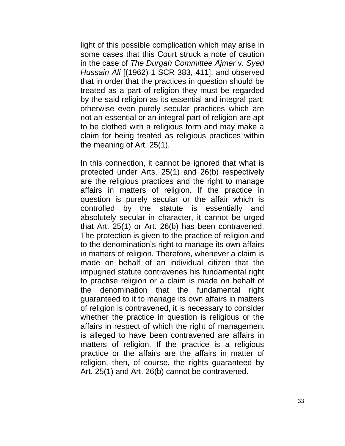light of this possible complication which may arise in some cases that this Court struck a note of caution in the case of *The Durgah Committee Ajmer* v. *Syed Hussain Ali* [(1962) 1 SCR 383, 411], and observed that in order that the practices in question should be treated as a part of religion they must be regarded by the said religion as its essential and integral part; otherwise even purely secular practices which are not an essential or an integral part of religion are apt to be clothed with a religious form and may make a claim for being treated as religious practices within the meaning of Art. 25(1).

In this connection, it cannot be ignored that what is protected under Arts. 25(1) and 26(b) respectively are the religious practices and the right to manage affairs in matters of religion. If the practice in question is purely secular or the affair which is controlled by the statute is essentially and absolutely secular in character, it cannot be urged that Art. 25(1) or Art. 26(b) has been contravened. The protection is given to the practice of religion and to the denomination's right to manage its own affairs in matters of religion. Therefore, whenever a claim is made on behalf of an individual citizen that the impugned statute contravenes his fundamental right to practise religion or a claim is made on behalf of the denomination that the fundamental right guaranteed to it to manage its own affairs in matters of religion is contravened, it is necessary to consider whether the practice in question is religious or the affairs in respect of which the right of management is alleged to have been contravened are affairs in matters of religion. If the practice is a religious practice or the affairs are the affairs in matter of religion, then, of course, the rights guaranteed by Art. 25(1) and Art. 26(b) cannot be contravened.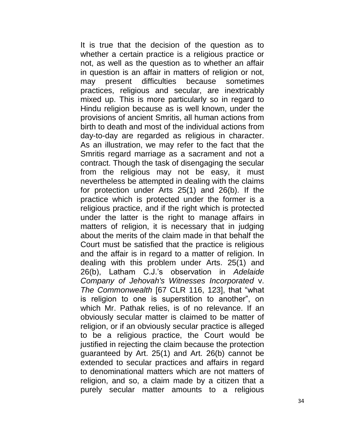It is true that the decision of the question as to whether a certain practice is a religious practice or not, as well as the question as to whether an affair in question is an affair in matters of religion or not, may present difficulties because sometimes practices, religious and secular, are inextricably mixed up. This is more particularly so in regard to Hindu religion because as is well known, under the provisions of ancient Smritis, all human actions from birth to death and most of the individual actions from day-to-day are regarded as religious in character. As an illustration, we may refer to the fact that the Smritis regard marriage as a sacrament and not a contract. Though the task of disengaging the secular from the religious may not be easy, it must nevertheless be attempted in dealing with the claims for protection under Arts 25(1) and 26(b). If the practice which is protected under the former is a religious practice, and if the right which is protected under the latter is the right to manage affairs in matters of religion, it is necessary that in judging about the merits of the claim made in that behalf the Court must be satisfied that the practice is religious and the affair is in regard to a matter of religion. In dealing with this problem under Arts. 25(1) and 26(b), Latham C.J.'s observation in *Adelaide Company of Jehovah's Witnesses Incorporated* v. *The Commonwealth* [67 CLR 116, 123], that "what is religion to one is superstition to another", on which Mr. Pathak relies, is of no relevance. If an obviously secular matter is claimed to be matter of religion, or if an obviously secular practice is alleged to be a religious practice, the Court would be justified in rejecting the claim because the protection guaranteed by Art. 25(1) and Art. 26(b) cannot be extended to secular practices and affairs in regard to denominational matters which are not matters of religion, and so, a claim made by a citizen that a purely secular matter amounts to a religious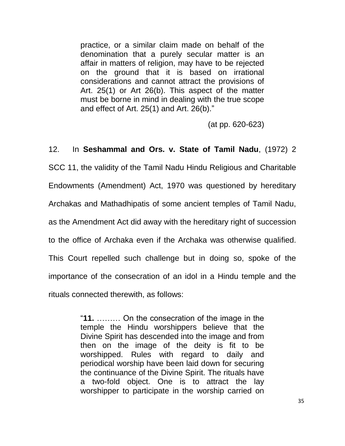practice, or a similar claim made on behalf of the denomination that a purely secular matter is an affair in matters of religion, may have to be rejected on the ground that it is based on irrational considerations and cannot attract the provisions of Art. 25(1) or Art 26(b). This aspect of the matter must be borne in mind in dealing with the true scope and effect of Art.  $25(1)$  and Art.  $26(b)$ ."

(at pp. 620-623)

# 12. In **Seshammal and Ors. v. State of Tamil Nadu**, (1972) 2

SCC 11, the validity of the Tamil Nadu Hindu Religious and Charitable Endowments (Amendment) Act, 1970 was questioned by hereditary Archakas and Mathadhipatis of some ancient temples of Tamil Nadu, as the Amendment Act did away with the hereditary right of succession to the office of Archaka even if the Archaka was otherwise qualified. This Court repelled such challenge but in doing so, spoke of the importance of the consecration of an idol in a Hindu temple and the rituals connected therewith, as follows:

> ―**11.** ……… On the consecration of the image in the temple the Hindu worshippers believe that the Divine Spirit has descended into the image and from then on the image of the deity is fit to be worshipped. Rules with regard to daily and periodical worship have been laid down for securing the continuance of the Divine Spirit. The rituals have a two-fold object. One is to attract the lay worshipper to participate in the worship carried on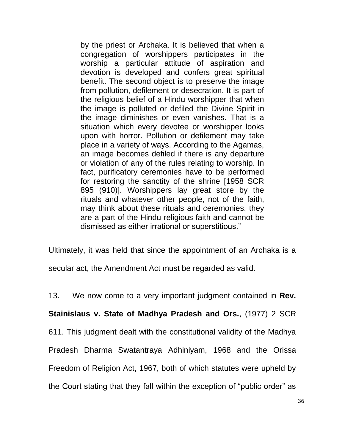by the priest or Archaka. It is believed that when a congregation of worshippers participates in the worship a particular attitude of aspiration and devotion is developed and confers great spiritual benefit. The second object is to preserve the image from pollution, defilement or desecration. It is part of the religious belief of a Hindu worshipper that when the image is polluted or defiled the Divine Spirit in the image diminishes or even vanishes. That is a situation which every devotee or worshipper looks upon with horror. Pollution or defilement may take place in a variety of ways. According to the Agamas, an image becomes defiled if there is any departure or violation of any of the rules relating to worship. In fact, purificatory ceremonies have to be performed for restoring the sanctity of the shrine [1958 SCR 895 (910)]. Worshippers lay great store by the rituals and whatever other people, not of the faith, may think about these rituals and ceremonies, they are a part of the Hindu religious faith and cannot be dismissed as either irrational or superstitious.‖

Ultimately, it was held that since the appointment of an Archaka is a

secular act, the Amendment Act must be regarded as valid.

13. We now come to a very important judgment contained in **Rev. Stainislaus v. State of Madhya Pradesh and Ors.**, (1977) 2 SCR 611. This judgment dealt with the constitutional validity of the Madhya Pradesh Dharma Swatantraya Adhiniyam, 1968 and the Orissa Freedom of Religion Act, 1967, both of which statutes were upheld by the Court stating that they fall within the exception of "public order" as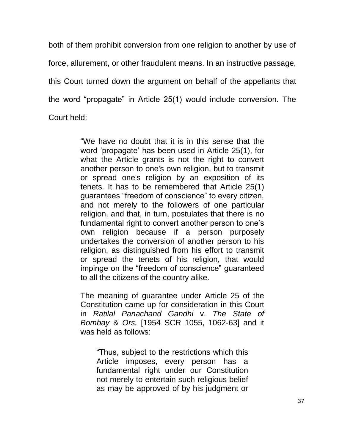both of them prohibit conversion from one religion to another by use of force, allurement, or other fraudulent means. In an instructive passage, this Court turned down the argument on behalf of the appellants that the word "propagate" in Article 25(1) would include conversion. The Court held:

> "We have no doubt that it is in this sense that the word 'propagate' has been used in Article 25(1), for what the Article grants is not the right to convert another person to one's own religion, but to transmit or spread one's religion by an exposition of its tenets. It has to be remembered that Article 25(1) guarantees "freedom of conscience" to every citizen, and not merely to the followers of one particular religion, and that, in turn, postulates that there is no fundamental right to convert another person to one's own religion because if a person purposely undertakes the conversion of another person to his religion, as distinguished from his effort to transmit or spread the tenets of his religion, that would impinge on the "freedom of conscience" guaranteed to all the citizens of the country alike.

> The meaning of guarantee under Article 25 of the Constitution came up for consideration in this Court in *Ratilal Panachand Gandhi* v. *The State of Bombay* & *Ors.* [1954 SCR 1055, 1062-63] and it was held as follows:

―Thus, subject to the restrictions which this Article imposes, every person has a fundamental right under our Constitution not merely to entertain such religious belief as may be approved of by his judgment or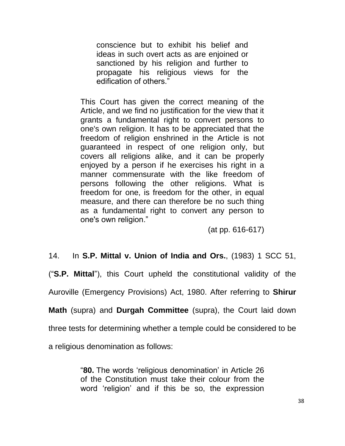conscience but to exhibit his belief and ideas in such overt acts as are enjoined or sanctioned by his religion and further to propagate his religious views for the edification of others."

This Court has given the correct meaning of the Article, and we find no justification for the view that it grants a fundamental right to convert persons to one's own religion. It has to be appreciated that the freedom of religion enshrined in the Article is not guaranteed in respect of one religion only, but covers all religions alike, and it can be properly enjoyed by a person if he exercises his right in a manner commensurate with the like freedom of persons following the other religions. What is freedom for one, is freedom for the other, in equal measure, and there can therefore be no such thing as a fundamental right to convert any person to one's own religion."

(at pp. 616-617)

14. In **S.P. Mittal v. Union of India and Ors.**, (1983) 1 SCC 51,

(―**S.P. Mittal**‖), this Court upheld the constitutional validity of the

Auroville (Emergency Provisions) Act, 1980. After referring to **Shirur** 

**Math** (supra) and **Durgah Committee** (supra), the Court laid down

three tests for determining whether a temple could be considered to be

a religious denomination as follows:

―**80.** The words ‗religious denomination' in Article 26 of the Constitution must take their colour from the word 'religion' and if this be so, the expression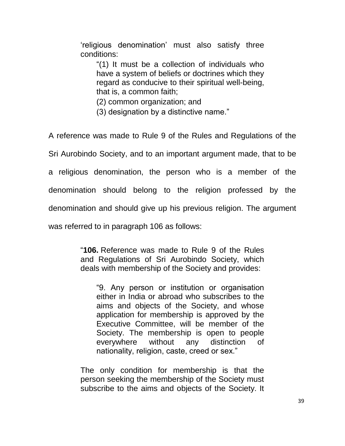‗religious denomination' must also satisfy three conditions:

―(1) It must be a collection of individuals who have a system of beliefs or doctrines which they regard as conducive to their spiritual well-being, that is, a common faith;

(2) common organization; and

(3) designation by a distinctive name."

A reference was made to Rule 9 of the Rules and Regulations of the Sri Aurobindo Society, and to an important argument made, that to be a religious denomination, the person who is a member of the denomination should belong to the religion professed by the denomination and should give up his previous religion. The argument was referred to in paragraph 106 as follows:

> ―**106.** Reference was made to Rule 9 of the Rules and Regulations of Sri Aurobindo Society, which deals with membership of the Society and provides:

―9. Any person or institution or organisation either in India or abroad who subscribes to the aims and objects of the Society, and whose application for membership is approved by the Executive Committee, will be member of the Society. The membership is open to people everywhere without any distinction of nationality, religion, caste, creed or sex."

The only condition for membership is that the person seeking the membership of the Society must subscribe to the aims and objects of the Society. It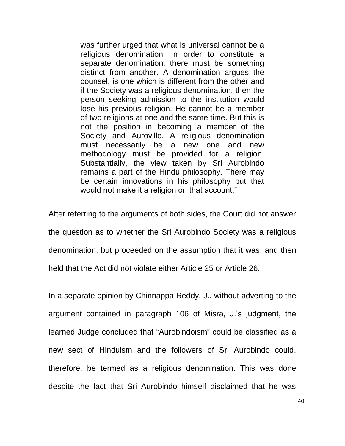was further urged that what is universal cannot be a religious denomination. In order to constitute a separate denomination, there must be something distinct from another. A denomination argues the counsel, is one which is different from the other and if the Society was a religious denomination, then the person seeking admission to the institution would lose his previous religion. He cannot be a member of two religions at one and the same time. But this is not the position in becoming a member of the Society and Auroville. A religious denomination must necessarily be a new one and new methodology must be provided for a religion. Substantially, the view taken by Sri Aurobindo remains a part of the Hindu philosophy. There may be certain innovations in his philosophy but that would not make it a religion on that account."

After referring to the arguments of both sides, the Court did not answer the question as to whether the Sri Aurobindo Society was a religious denomination, but proceeded on the assumption that it was, and then held that the Act did not violate either Article 25 or Article 26.

In a separate opinion by Chinnappa Reddy, J., without adverting to the argument contained in paragraph 106 of Misra, J.'s judgment, the learned Judge concluded that "Aurobindoism" could be classified as a new sect of Hinduism and the followers of Sri Aurobindo could, therefore, be termed as a religious denomination. This was done despite the fact that Sri Aurobindo himself disclaimed that he was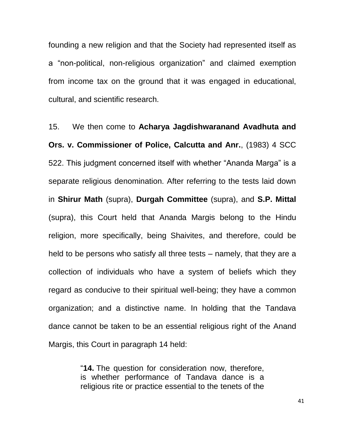founding a new religion and that the Society had represented itself as a "non-political, non-religious organization" and claimed exemption from income tax on the ground that it was engaged in educational, cultural, and scientific research.

15. We then come to **Acharya Jagdishwaranand Avadhuta and Ors. v. Commissioner of Police, Calcutta and Anr.**, (1983) 4 SCC 522. This judgment concerned itself with whether "Ananda Marga" is a separate religious denomination. After referring to the tests laid down in **Shirur Math** (supra), **Durgah Committee** (supra), and **S.P. Mittal** (supra), this Court held that Ananda Margis belong to the Hindu religion, more specifically, being Shaivites, and therefore, could be held to be persons who satisfy all three tests – namely, that they are a collection of individuals who have a system of beliefs which they regard as conducive to their spiritual well-being; they have a common organization; and a distinctive name. In holding that the Tandava dance cannot be taken to be an essential religious right of the Anand Margis, this Court in paragraph 14 held:

> ―**14.** The question for consideration now, therefore, is whether performance of Tandava dance is a religious rite or practice essential to the tenets of the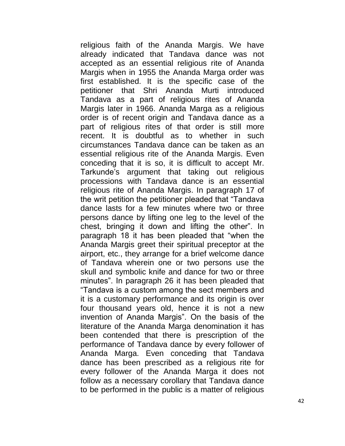religious faith of the Ananda Margis. We have already indicated that Tandava dance was not accepted as an essential religious rite of Ananda Margis when in 1955 the Ananda Marga order was first established. It is the specific case of the petitioner that Shri Ananda Murti introduced Tandava as a part of religious rites of Ananda Margis later in 1966. Ananda Marga as a religious order is of recent origin and Tandava dance as a part of religious rites of that order is still more recent. It is doubtful as to whether in such circumstances Tandava dance can be taken as an essential religious rite of the Ananda Margis. Even conceding that it is so, it is difficult to accept Mr. Tarkunde's argument that taking out religious processions with Tandava dance is an essential religious rite of Ananda Margis. In paragraph 17 of the writ petition the petitioner pleaded that "Tandava" dance lasts for a few minutes where two or three persons dance by lifting one leg to the level of the chest, bringing it down and lifting the other". In paragraph 18 it has been pleaded that "when the Ananda Margis greet their spiritual preceptor at the airport, etc., they arrange for a brief welcome dance of Tandava wherein one or two persons use the skull and symbolic knife and dance for two or three minutes". In paragraph 26 it has been pleaded that ―Tandava is a custom among the sect members and it is a customary performance and its origin is over four thousand years old, hence it is not a new invention of Ananda Margis". On the basis of the literature of the Ananda Marga denomination it has been contended that there is prescription of the performance of Tandava dance by every follower of Ananda Marga. Even conceding that Tandava dance has been prescribed as a religious rite for every follower of the Ananda Marga it does not follow as a necessary corollary that Tandava dance to be performed in the public is a matter of religious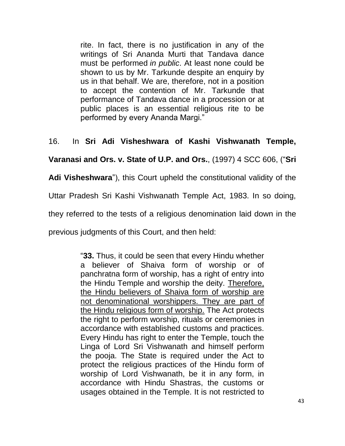rite. In fact, there is no justification in any of the writings of Sri Ananda Murti that Tandava dance must be performed *in public*. At least none could be shown to us by Mr. Tarkunde despite an enquiry by us in that behalf. We are, therefore, not in a position to accept the contention of Mr. Tarkunde that performance of Tandava dance in a procession or at public places is an essential religious rite to be performed by every Ananda Margi."

## 16. In **Sri Adi Visheshwara of Kashi Vishwanath Temple,**

**Varanasi and Ors. v. State of U.P. and Ors.**, (1997) 4 SCC 606, (―**Sri** 

**Adi Visheshwara**‖), this Court upheld the constitutional validity of the

Uttar Pradesh Sri Kashi Vishwanath Temple Act, 1983. In so doing,

they referred to the tests of a religious denomination laid down in the

previous judgments of this Court, and then held:

―**33.** Thus, it could be seen that every Hindu whether a believer of Shaiva form of worship or of panchratna form of worship, has a right of entry into the Hindu Temple and worship the deity. Therefore, the Hindu believers of Shaiva form of worship are not denominational worshippers. They are part of the Hindu religious form of worship. The Act protects the right to perform worship, rituals or ceremonies in accordance with established customs and practices. Every Hindu has right to enter the Temple, touch the Linga of Lord Sri Vishwanath and himself perform the pooja. The State is required under the Act to protect the religious practices of the Hindu form of worship of Lord Vishwanath, be it in any form, in accordance with Hindu Shastras, the customs or usages obtained in the Temple. It is not restricted to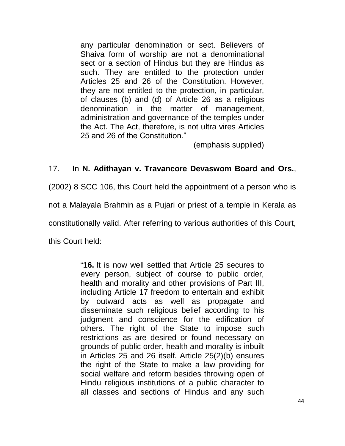any particular denomination or sect. Believers of Shaiva form of worship are not a denominational sect or a section of Hindus but they are Hindus as such. They are entitled to the protection under Articles 25 and 26 of the Constitution. However, they are not entitled to the protection, in particular, of clauses (b) and (d) of Article 26 as a religious denomination in the matter of management, administration and governance of the temples under the Act. The Act, therefore, is not ultra vires Articles 25 and 26 of the Constitution."

(emphasis supplied)

## 17. In **N. Adithayan v. Travancore Devaswom Board and Ors.**,

(2002) 8 SCC 106, this Court held the appointment of a person who is

not a Malayala Brahmin as a Pujari or priest of a temple in Kerala as

constitutionally valid. After referring to various authorities of this Court,

this Court held:

―**16.** It is now well settled that Article 25 secures to every person, subject of course to public order, health and morality and other provisions of Part III, including Article 17 freedom to entertain and exhibit by outward acts as well as propagate and disseminate such religious belief according to his judgment and conscience for the edification of others. The right of the State to impose such restrictions as are desired or found necessary on grounds of public order, health and morality is inbuilt in Articles 25 and 26 itself. Article 25(2)(b) ensures the right of the State to make a law providing for social welfare and reform besides throwing open of Hindu religious institutions of a public character to all classes and sections of Hindus and any such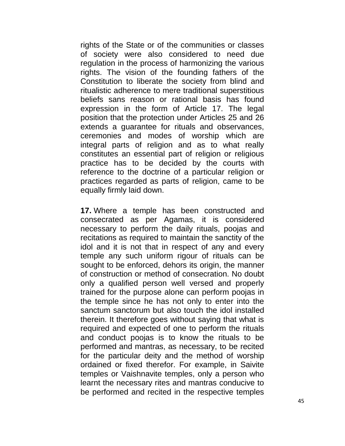rights of the State or of the communities or classes of society were also considered to need due regulation in the process of harmonizing the various rights. The vision of the founding fathers of the Constitution to liberate the society from blind and ritualistic adherence to mere traditional superstitious beliefs sans reason or rational basis has found expression in the form of Article 17. The legal position that the protection under Articles 25 and 26 extends a guarantee for rituals and observances, ceremonies and modes of worship which are integral parts of religion and as to what really constitutes an essential part of religion or religious practice has to be decided by the courts with reference to the doctrine of a particular religion or practices regarded as parts of religion, came to be equally firmly laid down.

**17.** Where a temple has been constructed and consecrated as per Agamas, it is considered necessary to perform the daily rituals, poojas and recitations as required to maintain the sanctity of the idol and it is not that in respect of any and every temple any such uniform rigour of rituals can be sought to be enforced, dehors its origin, the manner of construction or method of consecration. No doubt only a qualified person well versed and properly trained for the purpose alone can perform poojas in the temple since he has not only to enter into the sanctum sanctorum but also touch the idol installed therein. It therefore goes without saying that what is required and expected of one to perform the rituals and conduct poojas is to know the rituals to be performed and mantras, as necessary, to be recited for the particular deity and the method of worship ordained or fixed therefor. For example, in Saivite temples or Vaishnavite temples, only a person who learnt the necessary rites and mantras conducive to be performed and recited in the respective temples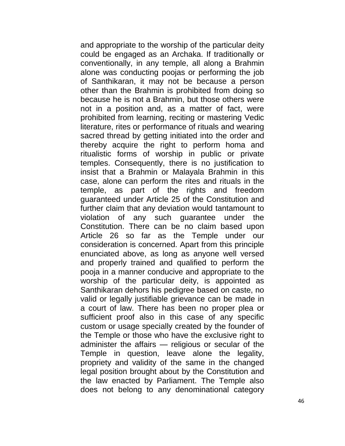and appropriate to the worship of the particular deity could be engaged as an Archaka. If traditionally or conventionally, in any temple, all along a Brahmin alone was conducting poojas or performing the job of Santhikaran, it may not be because a person other than the Brahmin is prohibited from doing so because he is not a Brahmin, but those others were not in a position and, as a matter of fact, were prohibited from learning, reciting or mastering Vedic literature, rites or performance of rituals and wearing sacred thread by getting initiated into the order and thereby acquire the right to perform homa and ritualistic forms of worship in public or private temples. Consequently, there is no justification to insist that a Brahmin or Malayala Brahmin in this case, alone can perform the rites and rituals in the temple, as part of the rights and freedom guaranteed under Article 25 of the Constitution and further claim that any deviation would tantamount to violation of any such guarantee under the Constitution. There can be no claim based upon Article 26 so far as the Temple under our consideration is concerned. Apart from this principle enunciated above, as long as anyone well versed and properly trained and qualified to perform the pooja in a manner conducive and appropriate to the worship of the particular deity, is appointed as Santhikaran dehors his pedigree based on caste, no valid or legally justifiable grievance can be made in a court of law. There has been no proper plea or sufficient proof also in this case of any specific custom or usage specially created by the founder of the Temple or those who have the exclusive right to administer the affairs — religious or secular of the Temple in question, leave alone the legality, propriety and validity of the same in the changed legal position brought about by the Constitution and the law enacted by Parliament. The Temple also does not belong to any denominational category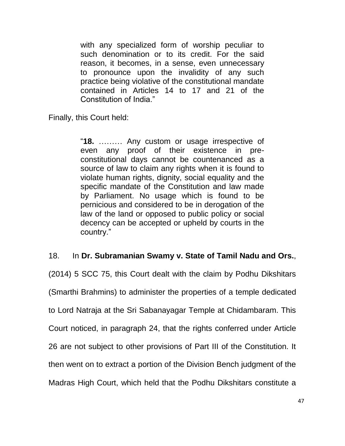with any specialized form of worship peculiar to such denomination or to its credit. For the said reason, it becomes, in a sense, even unnecessary to pronounce upon the invalidity of any such practice being violative of the constitutional mandate contained in Articles 14 to 17 and 21 of the Constitution of India."

Finally, this Court held:

―**18.** ……… Any custom or usage irrespective of even any proof of their existence in preconstitutional days cannot be countenanced as a source of law to claim any rights when it is found to violate human rights, dignity, social equality and the specific mandate of the Constitution and law made by Parliament. No usage which is found to be pernicious and considered to be in derogation of the law of the land or opposed to public policy or social decency can be accepted or upheld by courts in the country."

## 18. In **Dr. Subramanian Swamy v. State of Tamil Nadu and Ors.**,

(2014) 5 SCC 75, this Court dealt with the claim by Podhu Dikshitars (Smarthi Brahmins) to administer the properties of a temple dedicated to Lord Natraja at the Sri Sabanayagar Temple at Chidambaram. This Court noticed, in paragraph 24, that the rights conferred under Article 26 are not subject to other provisions of Part III of the Constitution. It then went on to extract a portion of the Division Bench judgment of the Madras High Court, which held that the Podhu Dikshitars constitute a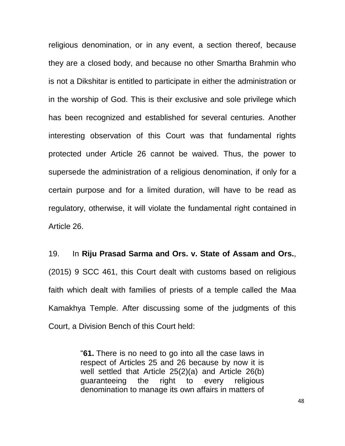religious denomination, or in any event, a section thereof, because they are a closed body, and because no other Smartha Brahmin who is not a Dikshitar is entitled to participate in either the administration or in the worship of God. This is their exclusive and sole privilege which has been recognized and established for several centuries. Another interesting observation of this Court was that fundamental rights protected under Article 26 cannot be waived. Thus, the power to supersede the administration of a religious denomination, if only for a certain purpose and for a limited duration, will have to be read as regulatory, otherwise, it will violate the fundamental right contained in Article 26.

## 19. In **Riju Prasad Sarma and Ors. v. State of Assam and Ors.**,

(2015) 9 SCC 461, this Court dealt with customs based on religious faith which dealt with families of priests of a temple called the Maa Kamakhya Temple. After discussing some of the judgments of this Court, a Division Bench of this Court held:

> ―**61.** There is no need to go into all the case laws in respect of Articles 25 and 26 because by now it is well settled that Article 25(2)(a) and Article 26(b) guaranteeing the right to every religious denomination to manage its own affairs in matters of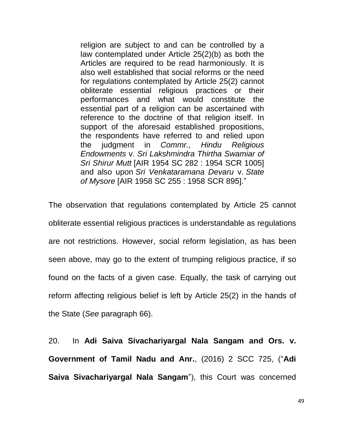religion are subject to and can be controlled by a law contemplated under Article 25(2)(b) as both the Articles are required to be read harmoniously. It is also well established that social reforms or the need for regulations contemplated by Article 25(2) cannot obliterate essential religious practices or their performances and what would constitute the essential part of a religion can be ascertained with reference to the doctrine of that religion itself. In support of the aforesaid established propositions, the respondents have referred to and relied upon the judgment in *Commr., Hindu Religious Endowments* v. *Sri Lakshmindra Thirtha Swamiar of Sri Shirur Mutt* [AIR 1954 SC 282 : 1954 SCR 1005] and also upon *Sri Venkataramana Devaru* v. *State of Mysore* [AIR 1958 SC 255 : 1958 SCR 895].‖

The observation that regulations contemplated by Article 25 cannot obliterate essential religious practices is understandable as regulations are not restrictions. However, social reform legislation, as has been seen above, may go to the extent of trumping religious practice, if so found on the facts of a given case. Equally, the task of carrying out reform affecting religious belief is left by Article 25(2) in the hands of the State (*See* paragraph 66).

20. In **Adi Saiva Sivachariyargal Nala Sangam and Ors. v. Government of Tamil Nadu and Anr.**, (2016) 2 SCC 725, (―**Adi Saiva Sivachariyargal Nala Sangam**"), this Court was concerned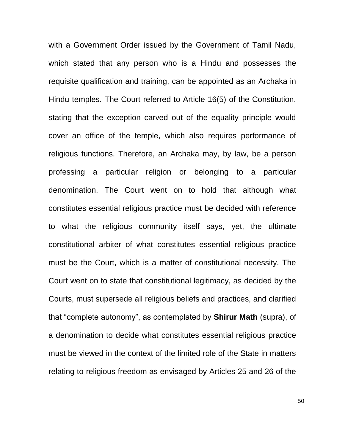with a Government Order issued by the Government of Tamil Nadu, which stated that any person who is a Hindu and possesses the requisite qualification and training, can be appointed as an Archaka in Hindu temples. The Court referred to Article 16(5) of the Constitution, stating that the exception carved out of the equality principle would cover an office of the temple, which also requires performance of religious functions. Therefore, an Archaka may, by law, be a person professing a particular religion or belonging to a particular denomination. The Court went on to hold that although what constitutes essential religious practice must be decided with reference to what the religious community itself says, yet, the ultimate constitutional arbiter of what constitutes essential religious practice must be the Court, which is a matter of constitutional necessity. The Court went on to state that constitutional legitimacy, as decided by the Courts, must supersede all religious beliefs and practices, and clarified that "complete autonomy", as contemplated by **Shirur Math** (supra), of a denomination to decide what constitutes essential religious practice must be viewed in the context of the limited role of the State in matters relating to religious freedom as envisaged by Articles 25 and 26 of the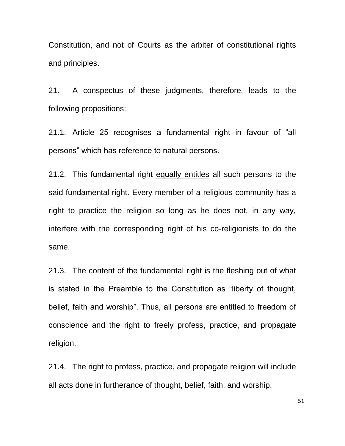Constitution, and not of Courts as the arbiter of constitutional rights and principles.

21. A conspectus of these judgments, therefore, leads to the following propositions:

21.1. Article 25 recognises a fundamental right in favour of "all persons" which has reference to natural persons.

21.2. This fundamental right equally entitles all such persons to the said fundamental right. Every member of a religious community has a right to practice the religion so long as he does not, in any way, interfere with the corresponding right of his co-religionists to do the same.

21.3. The content of the fundamental right is the fleshing out of what is stated in the Preamble to the Constitution as "liberty of thought, belief, faith and worship". Thus, all persons are entitled to freedom of conscience and the right to freely profess, practice, and propagate religion.

21.4. The right to profess, practice, and propagate religion will include all acts done in furtherance of thought, belief, faith, and worship.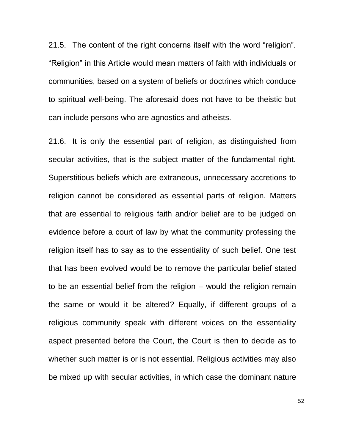21.5. The content of the right concerns itself with the word "religion". ―Religion‖ in this Article would mean matters of faith with individuals or communities, based on a system of beliefs or doctrines which conduce to spiritual well-being. The aforesaid does not have to be theistic but can include persons who are agnostics and atheists.

21.6. It is only the essential part of religion, as distinguished from secular activities, that is the subject matter of the fundamental right. Superstitious beliefs which are extraneous, unnecessary accretions to religion cannot be considered as essential parts of religion. Matters that are essential to religious faith and/or belief are to be judged on evidence before a court of law by what the community professing the religion itself has to say as to the essentiality of such belief. One test that has been evolved would be to remove the particular belief stated to be an essential belief from the religion – would the religion remain the same or would it be altered? Equally, if different groups of a religious community speak with different voices on the essentiality aspect presented before the Court, the Court is then to decide as to whether such matter is or is not essential. Religious activities may also be mixed up with secular activities, in which case the dominant nature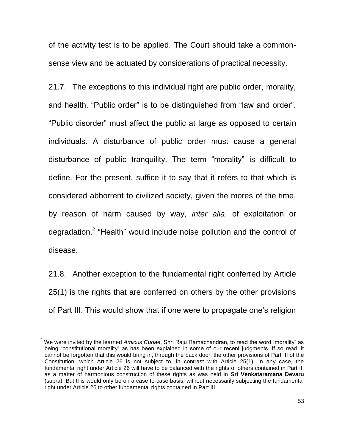of the activity test is to be applied. The Court should take a commonsense view and be actuated by considerations of practical necessity.

21.7. The exceptions to this individual right are public order, morality, and health. "Public order" is to be distinguished from "law and order". "Public disorder" must affect the public at large as opposed to certain individuals. A disturbance of public order must cause a general disturbance of public tranquility. The term "morality" is difficult to define. For the present, suffice it to say that it refers to that which is considered abhorrent to civilized society, given the mores of the time, by reason of harm caused by way, *inter alia*, of exploitation or degradation.<sup>2</sup> "Health" would include noise pollution and the control of disease.

21.8. Another exception to the fundamental right conferred by Article 25(1) is the rights that are conferred on others by the other provisions of Part III. This would show that if one were to propagate one's religion

 $\overline{\phantom{a}}$ 

<sup>&</sup>lt;sup>2</sup> We were invited by the learned *Amicus Curiae*, Shri Raju Ramachandran, to read the word "morality" as being "constitutional morality" as has been explained in some of our recent judgments. If so read, it cannot be forgotten that this would bring in, through the back door, the other provisions of Part III of the Constitution, which Article 26 is not subject to, in contrast with Article 25(1). In any case, the fundamental right under Article 26 will have to be balanced with the rights of others contained in Part III as a matter of harmonious construction of these rights as was held in **Sri Venkataramana Devaru**  (supra). But this would only be on a case to case basis, without necessarily subjecting the fundamental right under Article 26 to other fundamental rights contained in Part III.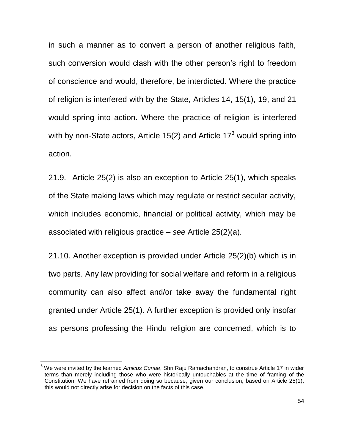in such a manner as to convert a person of another religious faith, such conversion would clash with the other person's right to freedom of conscience and would, therefore, be interdicted. Where the practice of religion is interfered with by the State, Articles 14, 15(1), 19, and 21 would spring into action. Where the practice of religion is interfered with by non-State actors, Article 15(2) and Article 17 $3$  would spring into action.

21.9. Article 25(2) is also an exception to Article 25(1), which speaks of the State making laws which may regulate or restrict secular activity, which includes economic, financial or political activity, which may be associated with religious practice – *see* Article 25(2)(a).

21.10. Another exception is provided under Article 25(2)(b) which is in two parts. Any law providing for social welfare and reform in a religious community can also affect and/or take away the fundamental right granted under Article 25(1). A further exception is provided only insofar as persons professing the Hindu religion are concerned, which is to

l

<sup>3</sup> We were invited by the learned *Amicus Curiae*, Shri Raju Ramachandran, to construe Article 17 in wider terms than merely including those who were historically untouchables at the time of framing of the Constitution. We have refrained from doing so because, given our conclusion, based on Article 25(1), this would not directly arise for decision on the facts of this case.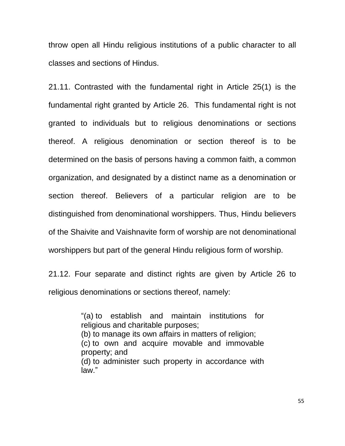throw open all Hindu religious institutions of a public character to all classes and sections of Hindus.

21.11. Contrasted with the fundamental right in Article 25(1) is the fundamental right granted by Article 26. This fundamental right is not granted to individuals but to religious denominations or sections thereof. A religious denomination or section thereof is to be determined on the basis of persons having a common faith, a common organization, and designated by a distinct name as a denomination or section thereof. Believers of a particular religion are to be distinguished from denominational worshippers. Thus, Hindu believers of the Shaivite and Vaishnavite form of worship are not denominational worshippers but part of the general Hindu religious form of worship.

21.12. Four separate and distinct rights are given by Article 26 to religious denominations or sections thereof, namely:

> [―\(a\)](https://indiankanoon.org/doc/272397/) to establish and maintain institutions for religious and charitable purposes; [\(b\)](https://indiankanoon.org/doc/1759799/) to manage its own affairs in matters of religion: [\(c\)](https://indiankanoon.org/doc/547354/) to own and acquire movable and immovable property; and [\(d\)](https://indiankanoon.org/doc/1838869/) to administer such property in accordance with law"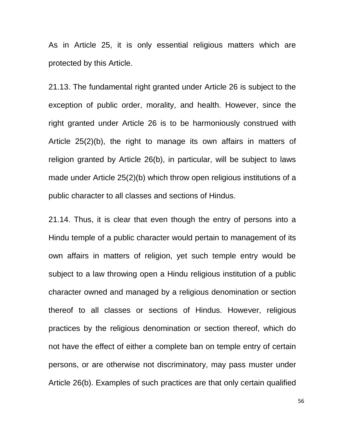As in Article 25, it is only essential religious matters which are protected by this Article.

21.13. The fundamental right granted under Article 26 is subject to the exception of public order, morality, and health. However, since the right granted under Article 26 is to be harmoniously construed with Article 25(2)(b), the right to manage its own affairs in matters of religion granted by Article 26(b), in particular, will be subject to laws made under Article 25(2)(b) which throw open religious institutions of a public character to all classes and sections of Hindus.

21.14. Thus, it is clear that even though the entry of persons into a Hindu temple of a public character would pertain to management of its own affairs in matters of religion, yet such temple entry would be subject to a law throwing open a Hindu religious institution of a public character owned and managed by a religious denomination or section thereof to all classes or sections of Hindus. However, religious practices by the religious denomination or section thereof, which do not have the effect of either a complete ban on temple entry of certain persons, or are otherwise not discriminatory, may pass muster under Article 26(b). Examples of such practices are that only certain qualified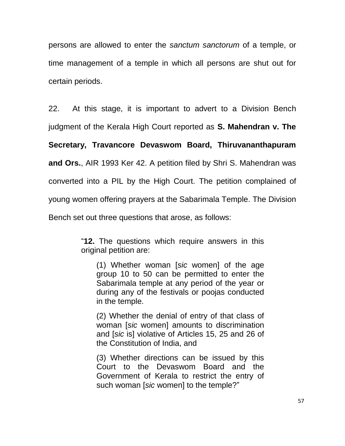persons are allowed to enter the *sanctum sanctorum* of a temple, or time management of a temple in which all persons are shut out for certain periods.

22. At this stage, it is important to advert to a Division Bench

judgment of the Kerala High Court reported as **S. Mahendran v. The** 

**Secretary, Travancore Devaswom Board, Thiruvananthapuram** 

**and Ors.**, AIR 1993 Ker 42. A petition filed by Shri S. Mahendran was

converted into a PIL by the High Court. The petition complained of

young women offering prayers at the Sabarimala Temple. The Division

Bench set out three questions that arose, as follows:

―**12.** The questions which require answers in this original petition are:

(1) Whether woman [*sic* women] of the age group 10 to 50 can be permitted to enter the Sabarimala temple at any period of the year or during any of the festivals or poojas conducted in the temple.

(2) Whether the denial of entry of that class of woman [*sic* women] amounts to discrimination and [*sic* is] violative of Articles 15, 25 and 26 of the Constitution of India, and

(3) Whether directions can be issued by this Court to the Devaswom Board and the Government of Kerala to restrict the entry of such woman [sic women] to the temple?"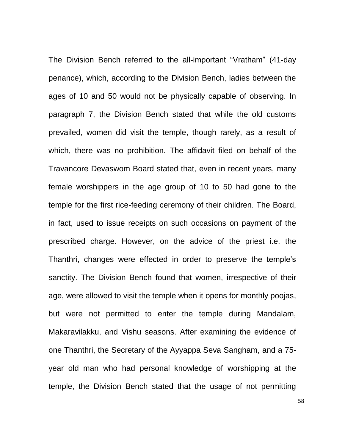The Division Bench referred to the all-important "Vratham" (41-day penance), which, according to the Division Bench, ladies between the ages of 10 and 50 would not be physically capable of observing. In paragraph 7, the Division Bench stated that while the old customs prevailed, women did visit the temple, though rarely, as a result of which, there was no prohibition. The affidavit filed on behalf of the Travancore Devaswom Board stated that, even in recent years, many female worshippers in the age group of 10 to 50 had gone to the temple for the first rice-feeding ceremony of their children. The Board, in fact, used to issue receipts on such occasions on payment of the prescribed charge. However, on the advice of the priest i.e. the Thanthri, changes were effected in order to preserve the temple's sanctity. The Division Bench found that women, irrespective of their age, were allowed to visit the temple when it opens for monthly poojas, but were not permitted to enter the temple during Mandalam, Makaravilakku, and Vishu seasons. After examining the evidence of one Thanthri, the Secretary of the Ayyappa Seva Sangham, and a 75 year old man who had personal knowledge of worshipping at the temple, the Division Bench stated that the usage of not permitting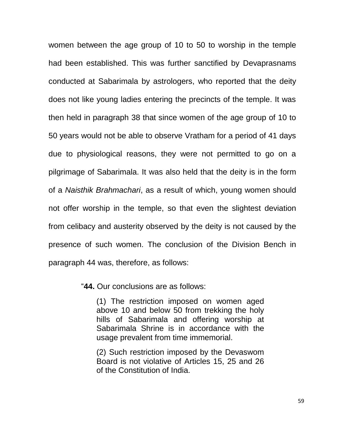women between the age group of 10 to 50 to worship in the temple had been established. This was further sanctified by Devaprasnams conducted at Sabarimala by astrologers, who reported that the deity does not like young ladies entering the precincts of the temple. It was then held in paragraph 38 that since women of the age group of 10 to 50 years would not be able to observe Vratham for a period of 41 days due to physiological reasons, they were not permitted to go on a pilgrimage of Sabarimala. It was also held that the deity is in the form of a *Naisthik Brahmachari*, as a result of which, young women should not offer worship in the temple, so that even the slightest deviation from celibacy and austerity observed by the deity is not caused by the presence of such women. The conclusion of the Division Bench in paragraph 44 was, therefore, as follows:

―**44.** Our conclusions are as follows:

(1) The restriction imposed on women aged above 10 and below 50 from trekking the holy hills of Sabarimala and offering worship at Sabarimala Shrine is in accordance with the usage prevalent from time immemorial.

(2) Such restriction imposed by the Devaswom Board is not violative of Articles 15, 25 and 26 of the Constitution of India.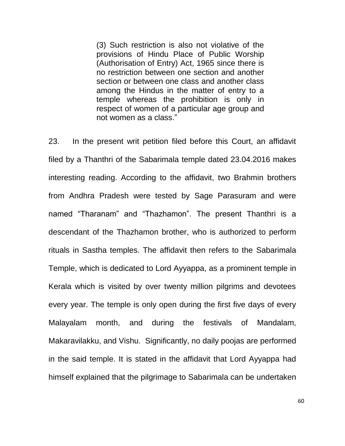(3) Such restriction is also not violative of the provisions of Hindu Place of Public Worship (Authorisation of Entry) Act, 1965 since there is no restriction between one section and another section or between one class and another class among the Hindus in the matter of entry to a temple whereas the prohibition is only in respect of women of a particular age group and not women as a class.‖

23. In the present writ petition filed before this Court, an affidavit filed by a Thanthri of the Sabarimala temple dated 23.04.2016 makes interesting reading. According to the affidavit, two Brahmin brothers from Andhra Pradesh were tested by Sage Parasuram and were named "Tharanam" and "Thazhamon". The present Thanthri is a descendant of the Thazhamon brother, who is authorized to perform rituals in Sastha temples. The affidavit then refers to the Sabarimala Temple, which is dedicated to Lord Ayyappa, as a prominent temple in Kerala which is visited by over twenty million pilgrims and devotees every year. The temple is only open during the first five days of every Malayalam month, and during the festivals of Mandalam, Makaravilakku, and Vishu. Significantly, no daily poojas are performed in the said temple. It is stated in the affidavit that Lord Ayyappa had himself explained that the pilgrimage to Sabarimala can be undertaken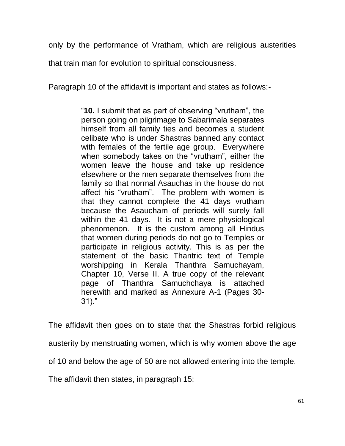only by the performance of Vratham, which are religious austerities

that train man for evolution to spiritual consciousness.

Paragraph 10 of the affidavit is important and states as follows:-

―**10.** I submit that as part of observing ―vrutham‖, the person going on pilgrimage to Sabarimala separates himself from all family ties and becomes a student celibate who is under Shastras banned any contact with females of the fertile age group. Everywhere when somebody takes on the "vrutham", either the women leave the house and take up residence elsewhere or the men separate themselves from the family so that normal Asauchas in the house do not affect his "vrutham". The problem with women is that they cannot complete the 41 days vrutham because the Asaucham of periods will surely fall within the 41 days. It is not a mere physiological phenomenon. It is the custom among all Hindus that women during periods do not go to Temples or participate in religious activity. This is as per the statement of the basic Thantric text of Temple worshipping in Kerala Thanthra Samuchayam, Chapter 10, Verse II. A true copy of the relevant page of Thanthra Samuchchaya is attached herewith and marked as Annexure A-1 (Pages 30-  $31$ )."

The affidavit then goes on to state that the Shastras forbid religious austerity by menstruating women, which is why women above the age of 10 and below the age of 50 are not allowed entering into the temple.

The affidavit then states, in paragraph 15: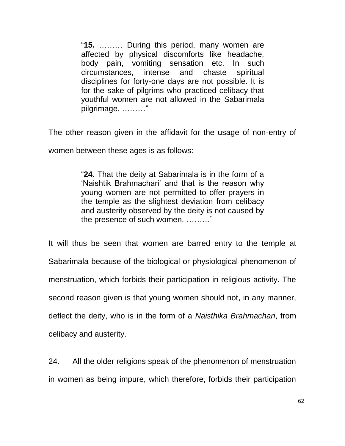―**15.** ……… During this period, many women are affected by physical discomforts like headache, body pain, vomiting sensation etc. In such circumstances, intense and chaste spiritual disciplines for forty-one days are not possible. It is for the sake of pilgrims who practiced celibacy that youthful women are not allowed in the Sabarimala pilgrimage. ………"

The other reason given in the affidavit for the usage of non-entry of

women between these ages is as follows:

―**24.** That the deity at Sabarimala is in the form of a ‗Naishtik Brahmachari' and that is the reason why young women are not permitted to offer prayers in the temple as the slightest deviation from celibacy and austerity observed by the deity is not caused by the presence of such women. .........."

It will thus be seen that women are barred entry to the temple at Sabarimala because of the biological or physiological phenomenon of menstruation, which forbids their participation in religious activity. The second reason given is that young women should not, in any manner, deflect the deity, who is in the form of a *Naisthika Brahmachari*, from celibacy and austerity.

24. All the older religions speak of the phenomenon of menstruation in women as being impure, which therefore, forbids their participation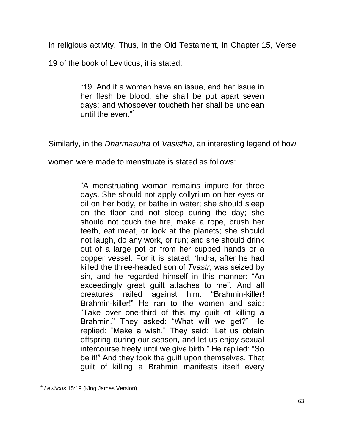in religious activity. Thus, in the Old Testament, in Chapter 15, Verse

19 of the book of Leviticus, it is stated:

―19. And if a woman have an issue, and her issue in her flesh be blood, she shall be put apart seven days: and whosoever toucheth her shall be unclean until the even."<sup>4</sup>

Similarly, in the *Dharmasutra* of *Vasistha*, an interesting legend of how

women were made to menstruate is stated as follows:

―A menstruating woman remains impure for three days. She should not apply collyrium on her eyes or oil on her body, or bathe in water; she should sleep on the floor and not sleep during the day; she should not touch the fire, make a rope, brush her teeth, eat meat, or look at the planets; she should not laugh, do any work, or run; and she should drink out of a large pot or from her cupped hands or a copper vessel. For it is stated: 'Indra, after he had killed the three-headed son of *Tvastr*, was seized by sin, and he regarded himself in this manner: "An exceedingly great quilt attaches to me". And all creatures railed against him: "Brahmin-killer! Brahmin-killer!" He ran to the women and said: ―Take over one-third of this my guilt of killing a Brahmin." They asked: "What will we get?" He replied: "Make a wish." They said: "Let us obtain offspring during our season, and let us enjoy sexual intercourse freely until we give birth." He replied: "So be it!" And they took the guilt upon themselves. That guilt of killing a Brahmin manifests itself every

 4 *Leviticus* 15:19 (King James Version).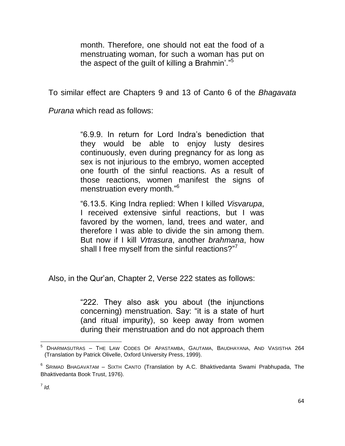month. Therefore, one should not eat the food of a menstruating woman, for such a woman has put on the aspect of the guilt of killing a Brahmin'."<sup>5</sup>

To similar effect are Chapters 9 and 13 of Canto 6 of the *Bhagavata*

*Purana* which read as follows:

―6.9.9. In return for Lord Indra's benediction that they would be able to enjoy lusty desires continuously, even during pregnancy for as long as sex is not injurious to the embryo, women accepted one fourth of the sinful reactions. As a result of those reactions, women manifest the signs of menstruation every month."<sup>6</sup>

―6.13.5. King Indra replied: When I killed *Visvarupa*, I received extensive sinful reactions, but I was favored by the women, land, trees and water, and therefore I was able to divide the sin among them. But now if I kill *Vrtrasura*, another *brahmana*, how shall I free myself from the sinful reactions?"<sup>7</sup>

Also, in the Qur'an, Chapter 2, Verse 222 states as follows:

―222. They also ask you about (the injunctions concerning) menstruation. Say: "it is a state of hurt (and ritual impurity), so keep away from women during their menstruation and do not approach them

 $\overline{\phantom{a}}$  $^5$  Dharmasutras – The Law Codes Of Apastamba, Gautama, Baudhayana, And Vasistha 264  $\,$ (Translation by Patrick Olivelle, Oxford University Press, 1999).

<sup>&</sup>lt;sup>6</sup> SRIMAD BHAGAVATAM – SIXTH CANTO (Translation by A.C. Bhaktivedanta Swami Prabhupada, The Bhaktivedanta Book Trust, 1976).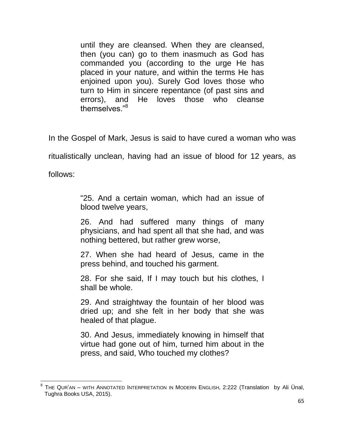until they are cleansed. When they are cleansed, then (you can) go to them inasmuch as God has commanded you (according to the urge He has placed in your nature, and within the terms He has enjoined upon you). Surely God loves those who turn to Him in sincere repentance (of past sins and errors), and He loves those who cleanse themselves."<sup>8</sup>

In the Gospel of Mark, Jesus is said to have cured a woman who was

ritualistically unclean, having had an issue of blood for 12 years, as

follows:

―25. And a certain woman, which had an issue of blood twelve years,

26. And had suffered many things of many physicians, and had spent all that she had, and was nothing bettered, but rather grew worse,

27. When she had heard of Jesus, came in the press behind, and touched his garment.

28. For she said, If I may touch but his clothes, I shall be whole.

29. And straightway the fountain of her blood was dried up; and she felt in her body that she was healed of that plague.

30. And Jesus, immediately knowing in himself that virtue had gone out of him, turned him about in the press, and said, Who touched my clothes?

<sup>————————————————————&</sup>lt;br><sup>8</sup> The Qur'an – with Annotated Interpretation in Modern English, 2:222 (Translation by Ali Ünal, Tughra Books USA, 2015).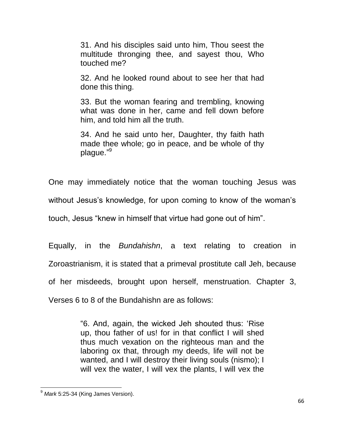31. And his disciples said unto him, Thou seest the multitude thronging thee, and sayest thou, Who touched me?

32. And he looked round about to see her that had done this thing.

33. But the woman fearing and trembling, knowing what was done in her, came and fell down before him, and told him all the truth.

34. And he said unto her, Daughter, thy faith hath made thee whole; go in peace, and be whole of thy plague."<sup>9</sup>

One may immediately notice that the woman touching Jesus was

without Jesus's knowledge, for upon coming to know of the woman's

touch, Jesus "knew in himself that virtue had gone out of him".

Equally, in the *Bundahishn*, a text relating to creation in Zoroastrianism, it is stated that a primeval prostitute call Jeh, because of her misdeeds, brought upon herself, menstruation. Chapter 3,

Verses 6 to 8 of the Bundahishn are as follows:

―6. And, again, the wicked Jeh shouted thus: ‗Rise up, thou father of us! for in that conflict I will shed thus much vexation on the righteous man and the laboring ox that, through my deeds, life will not be wanted, and I will destroy their living souls (nismo); I will vex the water, I will vex the plants, I will vex the

 $\overline{\phantom{a}}$ <sup>9</sup> *Mark* 5:25-34 (King James Version).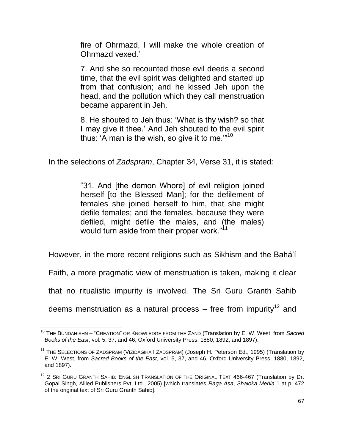fire of Ohrmazd, I will make the whole creation of Ohrmazd vexed.'

7. And she so recounted those evil deeds a second time, that the evil spirit was delighted and started up from that confusion; and he kissed Jeh upon the head, and the pollution which they call menstruation became apparent in Jeh.

8. He shouted to Jeh thus: ‗What is thy wish? so that I may give it thee.' And Jeh shouted to the evil spirit thus: 'A man is the wish, so give it to me." $10$ 

In the selections of *Zadspram*, Chapter 34, Verse 31, it is stated:

"31. And [the demon Whore] of evil religion joined herself [to the Blessed Man]; for the defilement of females she joined herself to him, that she might defile females; and the females, because they were defiled, might defile the males, and (the males) would turn aside from their proper work."<sup>11</sup>

However, in the more recent religions such as Sikhism and the Bahá'í

Faith, a more pragmatic view of menstruation is taken, making it clear

that no ritualistic impurity is involved. The Sri Guru Granth Sahib

deems menstruation as a natural process – free from impurity<sup>12</sup> and

 $\overline{\phantom{a}}$ <sup>10</sup> THE BUNDAHISHN – "CREATION" OR KNOWLEDGE FROM THE ZAND (Translation by E. W. West, from *Sacred Books of the East*, vol. 5, 37, and 46, Oxford University Press, 1880, 1892, and 1897).

<sup>&</sup>lt;sup>11</sup> THE SELECTIONS OF ZADSPRAM (VIZIDAGIHA I ZADSPRAM) (Joseph H. Peterson Ed., 1995) (Translation by E. W. West, from *Sacred Books of the East*, vol. 5, 37, and 46, Oxford University Press, 1880, 1892, and 1897).

 $12$  2 Sri Guru Granth Sahib: English Translation of the Original Text 466-467 (Translation by Dr. Gopal Singh, Allied Publishers Pvt. Ltd., 2005) [which translates *Raga Asa*, *Shaloka Mehla* 1 at p. 472 of the original text of Sri Guru Granth Sahib].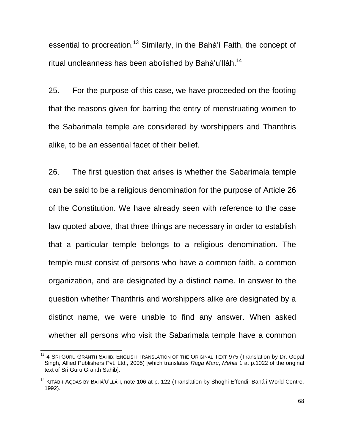essential to procreation.<sup>13</sup> Similarly, in the Bahá'í Faith, the concept of ritual uncleanness has been abolished by Bahá'u'lláh.<sup>14</sup>

25. For the purpose of this case, we have proceeded on the footing that the reasons given for barring the entry of menstruating women to the Sabarimala temple are considered by worshippers and Thanthris alike, to be an essential facet of their belief.

26. The first question that arises is whether the Sabarimala temple can be said to be a religious denomination for the purpose of Article 26 of the Constitution. We have already seen with reference to the case law quoted above, that three things are necessary in order to establish that a particular temple belongs to a religious denomination. The temple must consist of persons who have a common faith, a common organization, and are designated by a distinct name. In answer to the question whether Thanthris and worshippers alike are designated by a distinct name, we were unable to find any answer. When asked whether all persons who visit the Sabarimala temple have a common

 $\overline{\phantom{a}}$ 

<sup>&</sup>lt;sup>13</sup> 4 SRI GURU GRANTH SAHIB: ENGLISH TRANSLATION OF THE ORIGINAL TEXT 975 (Translation by Dr. Gopal Singh, Allied Publishers Pvt. Ltd., 2005) [which translates *Raga Maru*, *Mehla* 1 at p.1022 of the original text of Sri Guru Granth Sahib].

<sup>&</sup>lt;sup>14</sup> KITÁB-I-AQDAS BY BAHÁ'U'LLÁH, note 106 at p. 122 (Translation by Shoghi Effendi, Bahá'í World Centre, 1992).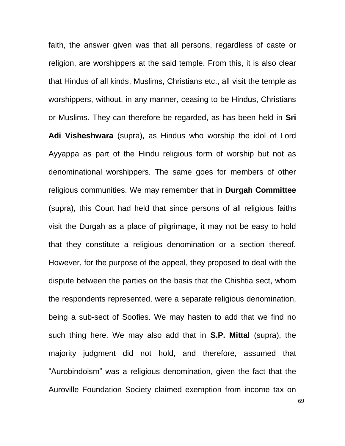faith, the answer given was that all persons, regardless of caste or religion, are worshippers at the said temple. From this, it is also clear that Hindus of all kinds, Muslims, Christians etc., all visit the temple as worshippers, without, in any manner, ceasing to be Hindus, Christians or Muslims. They can therefore be regarded, as has been held in **Sri Adi Visheshwara** (supra), as Hindus who worship the idol of Lord Ayyappa as part of the Hindu religious form of worship but not as denominational worshippers. The same goes for members of other religious communities. We may remember that in **Durgah Committee**  (supra), this Court had held that since persons of all religious faiths visit the Durgah as a place of pilgrimage, it may not be easy to hold that they constitute a religious denomination or a section thereof. However, for the purpose of the appeal, they proposed to deal with the dispute between the parties on the basis that the Chishtia sect, whom the respondents represented, were a separate religious denomination, being a sub-sect of Soofies. We may hasten to add that we find no such thing here. We may also add that in **S.P. Mittal** (supra), the majority judgment did not hold, and therefore, assumed that "Aurobindoism" was a religious denomination, given the fact that the Auroville Foundation Society claimed exemption from income tax on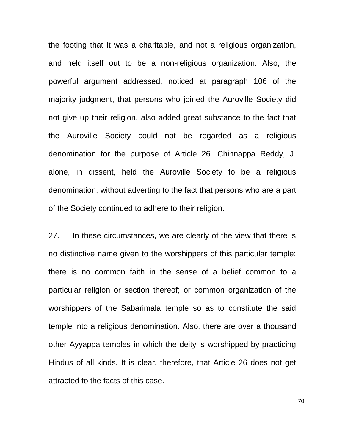the footing that it was a charitable, and not a religious organization, and held itself out to be a non-religious organization. Also, the powerful argument addressed, noticed at paragraph 106 of the majority judgment, that persons who joined the Auroville Society did not give up their religion, also added great substance to the fact that the Auroville Society could not be regarded as a religious denomination for the purpose of Article 26. Chinnappa Reddy, J. alone, in dissent, held the Auroville Society to be a religious denomination, without adverting to the fact that persons who are a part of the Society continued to adhere to their religion.

27. In these circumstances, we are clearly of the view that there is no distinctive name given to the worshippers of this particular temple; there is no common faith in the sense of a belief common to a particular religion or section thereof; or common organization of the worshippers of the Sabarimala temple so as to constitute the said temple into a religious denomination. Also, there are over a thousand other Ayyappa temples in which the deity is worshipped by practicing Hindus of all kinds. It is clear, therefore, that Article 26 does not get attracted to the facts of this case.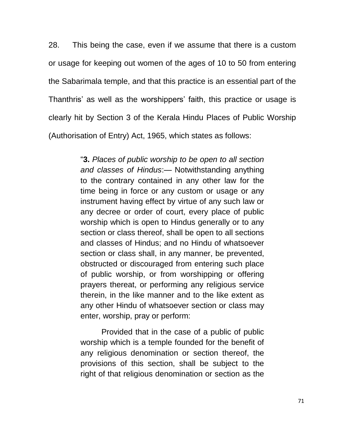28. This being the case, even if we assume that there is a custom or usage for keeping out women of the ages of 10 to 50 from entering the Sabarimala temple, and that this practice is an essential part of the Thanthris' as well as the worshippers' faith, this practice or usage is clearly hit by Section 3 of the Kerala Hindu Places of Public Worship (Authorisation of Entry) Act, 1965, which states as follows:

> ―**3.** *Places of public worship to be open to all section and classes of Hindus*:— Notwithstanding anything to the contrary contained in any other law for the time being in force or any custom or usage or any instrument having effect by virtue of any such law or any decree or order of court, every place of public worship which is open to Hindus generally or to any section or class thereof, shall be open to all sections and classes of Hindus; and no Hindu of whatsoever section or class shall, in any manner, be prevented, obstructed or discouraged from entering such place of public worship, or from worshipping or offering prayers thereat, or performing any religious service therein, in the like manner and to the like extent as any other Hindu of whatsoever section or class may enter, worship, pray or perform:

> Provided that in the case of a public of public worship which is a temple founded for the benefit of any religious denomination or section thereof, the provisions of this section, shall be subject to the right of that religious denomination or section as the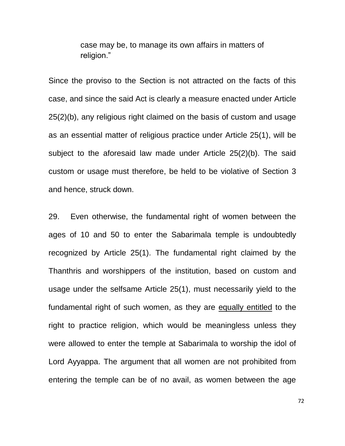case may be, to manage its own affairs in matters of religion."

Since the proviso to the Section is not attracted on the facts of this case, and since the said Act is clearly a measure enacted under Article 25(2)(b), any religious right claimed on the basis of custom and usage as an essential matter of religious practice under Article 25(1), will be subject to the aforesaid law made under Article 25(2)(b). The said custom or usage must therefore, be held to be violative of Section 3 and hence, struck down.

29. Even otherwise, the fundamental right of women between the ages of 10 and 50 to enter the Sabarimala temple is undoubtedly recognized by Article 25(1). The fundamental right claimed by the Thanthris and worshippers of the institution, based on custom and usage under the selfsame Article 25(1), must necessarily yield to the fundamental right of such women, as they are equally entitled to the right to practice religion, which would be meaningless unless they were allowed to enter the temple at Sabarimala to worship the idol of Lord Ayyappa. The argument that all women are not prohibited from entering the temple can be of no avail, as women between the age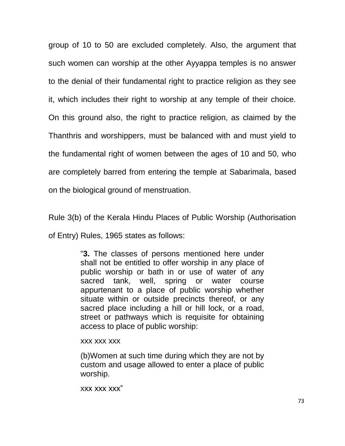group of 10 to 50 are excluded completely. Also, the argument that such women can worship at the other Ayyappa temples is no answer to the denial of their fundamental right to practice religion as they see it, which includes their right to worship at any temple of their choice. On this ground also, the right to practice religion, as claimed by the Thanthris and worshippers, must be balanced with and must yield to the fundamental right of women between the ages of 10 and 50, who are completely barred from entering the temple at Sabarimala, based on the biological ground of menstruation.

Rule 3(b) of the Kerala Hindu Places of Public Worship (Authorisation

of Entry) Rules, 1965 states as follows:

―**3.** The classes of persons mentioned here under shall not be entitled to offer worship in any place of public worship or bath in or use of water of any sacred tank, well, spring or water course appurtenant to a place of public worship whether situate within or outside precincts thereof, or any sacred place including a hill or hill lock, or a road, street or pathways which is requisite for obtaining access to place of public worship:

## xxx xxx xxx

(b)Women at such time during which they are not by custom and usage allowed to enter a place of public worship.

xxx xxx xxx"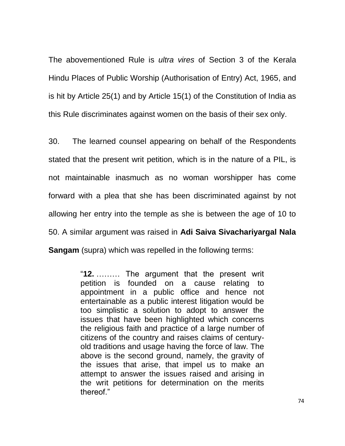The abovementioned Rule is *ultra vires* of Section 3 of the Kerala Hindu Places of Public Worship (Authorisation of Entry) Act, 1965, and is hit by Article 25(1) and by Article 15(1) of the Constitution of India as this Rule discriminates against women on the basis of their sex only.

30. The learned counsel appearing on behalf of the Respondents stated that the present writ petition, which is in the nature of a PIL, is not maintainable inasmuch as no woman worshipper has come forward with a plea that she has been discriminated against by not allowing her entry into the temple as she is between the age of 10 to 50. A similar argument was raised in **Adi Saiva Sivachariyargal Nala Sangam** (supra) which was repelled in the following terms:

> ―**12.** ……… The argument that the present writ petition is founded on a cause relating to appointment in a public office and hence not entertainable as a public interest litigation would be too simplistic a solution to adopt to answer the issues that have been highlighted which concerns the religious faith and practice of a large number of citizens of the country and raises claims of centuryold traditions and usage having the force of law. The above is the second ground, namely, the gravity of the issues that arise, that impel us to make an attempt to answer the issues raised and arising in the writ petitions for determination on the merits thereof."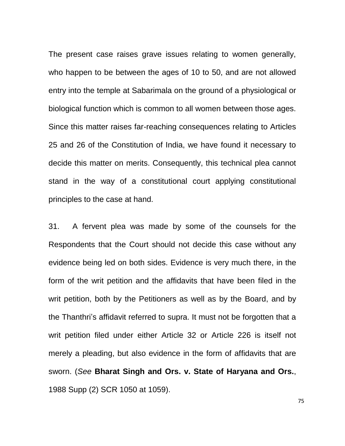The present case raises grave issues relating to women generally, who happen to be between the ages of 10 to 50, and are not allowed entry into the temple at Sabarimala on the ground of a physiological or biological function which is common to all women between those ages. Since this matter raises far-reaching consequences relating to Articles 25 and 26 of the Constitution of India, we have found it necessary to decide this matter on merits. Consequently, this technical plea cannot stand in the way of a constitutional court applying constitutional principles to the case at hand.

31. A fervent plea was made by some of the counsels for the Respondents that the Court should not decide this case without any evidence being led on both sides. Evidence is very much there, in the form of the writ petition and the affidavits that have been filed in the writ petition, both by the Petitioners as well as by the Board, and by the Thanthri's affidavit referred to supra. It must not be forgotten that a writ petition filed under either Article 32 or Article 226 is itself not merely a pleading, but also evidence in the form of affidavits that are sworn. (*See* **Bharat Singh and Ors. v. State of Haryana and Ors.**, 1988 Supp (2) SCR 1050 at 1059).

75